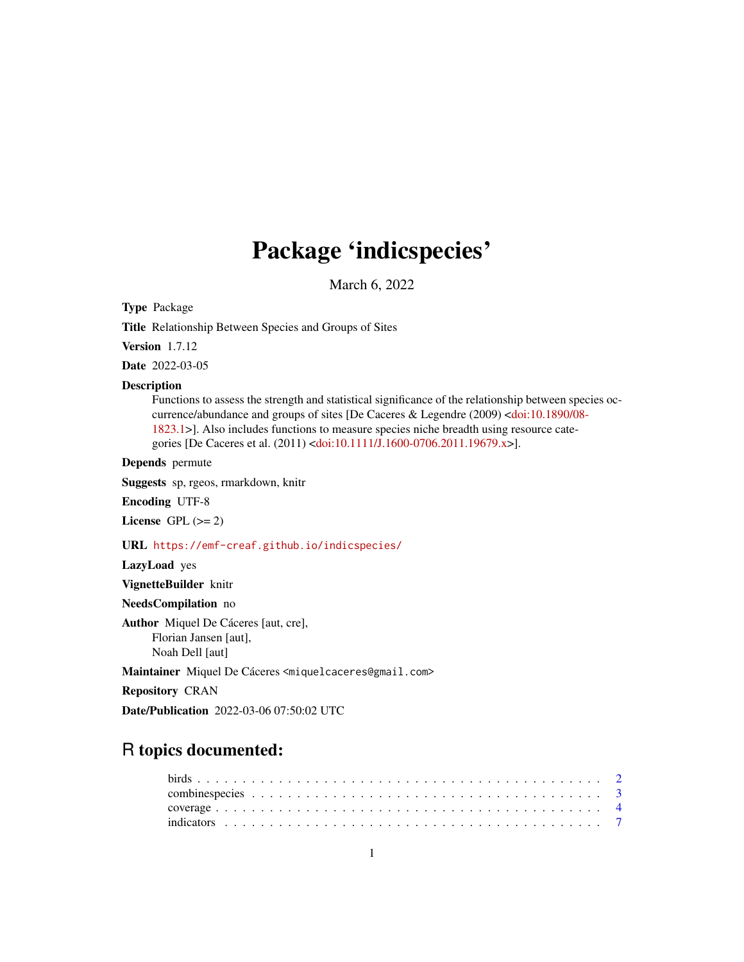# Package 'indicspecies'

March 6, 2022

<span id="page-0-0"></span>Type Package

Title Relationship Between Species and Groups of Sites

Version 1.7.12

Date 2022-03-05

#### Description

Functions to assess the strength and statistical significance of the relationship between species occurrence/abundance and groups of sites [De Caceres & Legendre (2009) [<doi:10.1890/08-](https://doi.org/10.1890/08-1823.1) [1823.1>](https://doi.org/10.1890/08-1823.1)]. Also includes functions to measure species niche breadth using resource categories [De Caceres et al. (2011) [<doi:10.1111/J.1600-0706.2011.19679.x>](https://doi.org/10.1111/J.1600-0706.2011.19679.x)].

Depends permute

Suggests sp, rgeos, rmarkdown, knitr

Encoding UTF-8

License GPL  $(>= 2)$ 

URL <https://emf-creaf.github.io/indicspecies/>

LazyLoad yes

VignetteBuilder knitr

NeedsCompilation no

Author Miquel De Cáceres [aut, cre], Florian Jansen [aut], Noah Dell [aut]

Maintainer Miquel De Cáceres <miquelcaceres@gmail.com>

Repository CRAN

Date/Publication 2022-03-06 07:50:02 UTC

# R topics documented: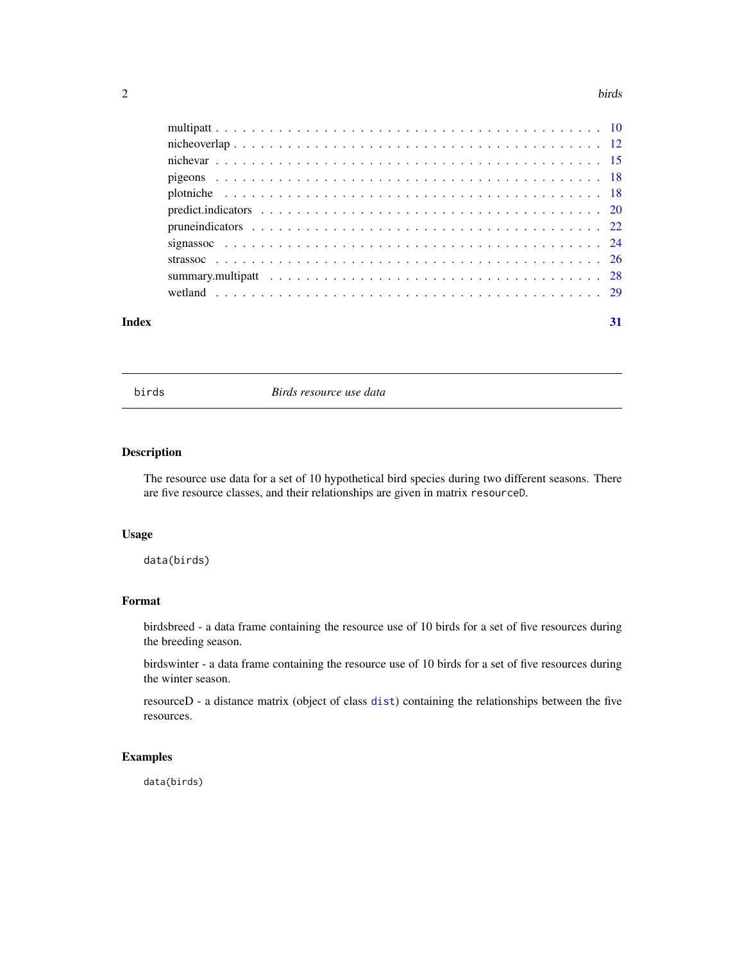#### <span id="page-1-0"></span> $2 \t\t 1$

| Index | 31 |
|-------|----|

birds *Birds resource use data*

#### Description

The resource use data for a set of 10 hypothetical bird species during two different seasons. There are five resource classes, and their relationships are given in matrix resourceD.

# Usage

data(birds)

# Format

birdsbreed - a data frame containing the resource use of 10 birds for a set of five resources during the breeding season.

birdswinter - a data frame containing the resource use of 10 birds for a set of five resources during the winter season.

resourceD - a distance matrix (object of class [dist](#page-0-0)) containing the relationships between the five resources.

# Examples

data(birds)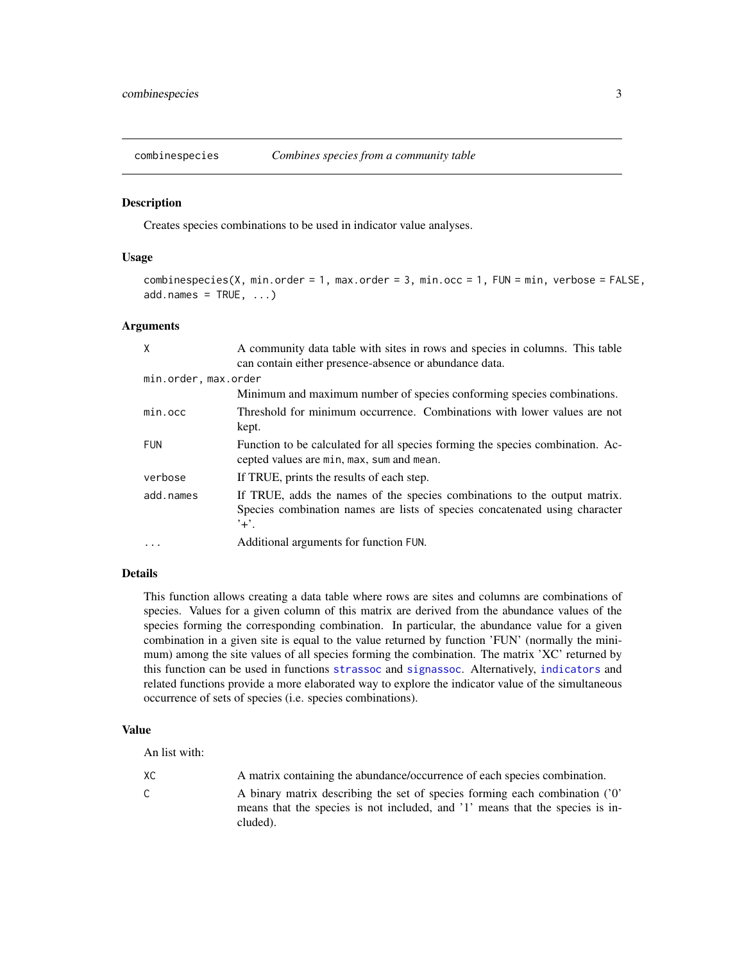<span id="page-2-0"></span>

#### Description

Creates species combinations to be used in indicator value analyses.

#### Usage

```
combinespecies(X, min.order = 1, max.order = 3, min.occ = 1, FUN = min, verbose = FALSE,
add.names = TRUE, ...)
```
#### Arguments

| X                    | A community data table with sites in rows and species in columns. This table<br>can contain either presence-absence or abundance data.                                                  |
|----------------------|-----------------------------------------------------------------------------------------------------------------------------------------------------------------------------------------|
| min.order, max.order |                                                                                                                                                                                         |
|                      | Minimum and maximum number of species conforming species combinations.                                                                                                                  |
| min.occ              | Threshold for minimum occurrence. Combinations with lower values are not<br>kept.                                                                                                       |
| <b>FUN</b>           | Function to be calculated for all species forming the species combination. Ac-<br>cepted values are min, max, sum and mean.                                                             |
| verbose              | If TRUE, prints the results of each step.                                                                                                                                               |
| add.names            | If TRUE, adds the names of the species combinations to the output matrix.<br>Species combination names are lists of species concatenated using character<br>$^{\prime}$ + $^{\prime}$ . |
|                      | Additional arguments for function FUN.                                                                                                                                                  |

# Details

This function allows creating a data table where rows are sites and columns are combinations of species. Values for a given column of this matrix are derived from the abundance values of the species forming the corresponding combination. In particular, the abundance value for a given combination in a given site is equal to the value returned by function 'FUN' (normally the minimum) among the site values of all species forming the combination. The matrix 'XC' returned by this function can be used in functions [strassoc](#page-25-1) and [signassoc](#page-23-1). Alternatively, [indicators](#page-6-1) and related functions provide a more elaborated way to explore the indicator value of the simultaneous occurrence of sets of species (i.e. species combinations).

# Value

An list with:

| ХC          | A matrix containing the abundance/occurrence of each species combination.    |
|-------------|------------------------------------------------------------------------------|
| $\sim$<br>U | A binary matrix describing the set of species forming each combination ('0'  |
|             | means that the species is not included and '1' means that the species is in- |

means that the species is not included, and '1' means that the species is included).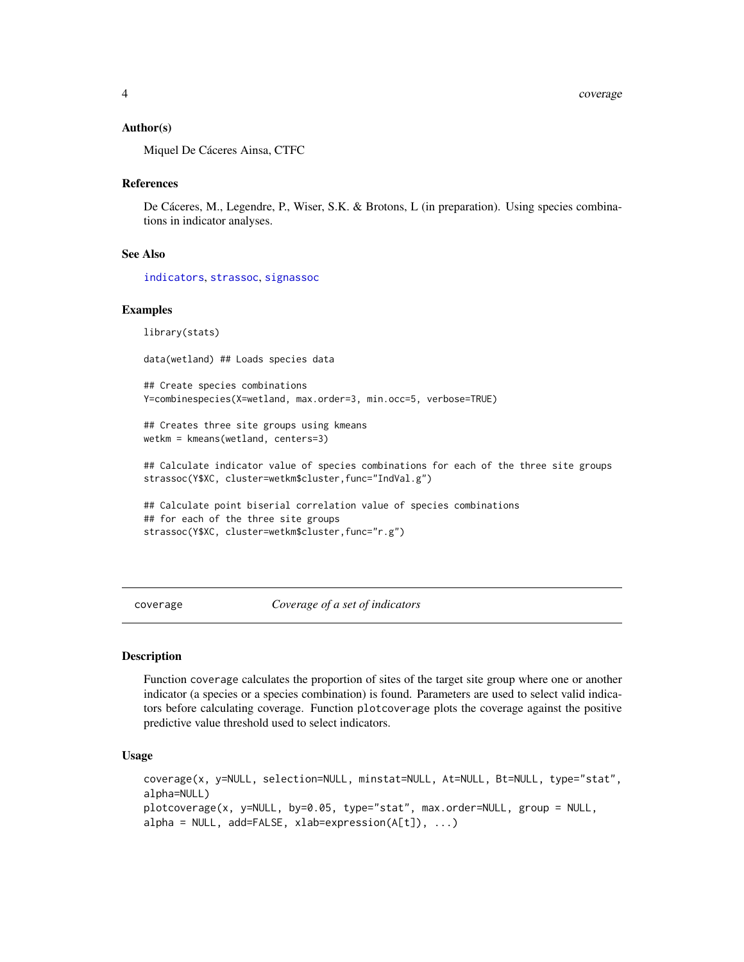#### <span id="page-3-0"></span>Author(s)

Miquel De Cáceres Ainsa, CTFC

#### References

De Cáceres, M., Legendre, P., Wiser, S.K. & Brotons, L (in preparation). Using species combinations in indicator analyses.

# See Also

[indicators](#page-6-1), [strassoc](#page-25-1), [signassoc](#page-23-1)

# Examples

library(stats)

data(wetland) ## Loads species data

## Create species combinations Y=combinespecies(X=wetland, max.order=3, min.occ=5, verbose=TRUE)

## Creates three site groups using kmeans wetkm = kmeans(wetland, centers=3)

## Calculate indicator value of species combinations for each of the three site groups strassoc(Y\$XC, cluster=wetkm\$cluster,func="IndVal.g")

```
## Calculate point biserial correlation value of species combinations
## for each of the three site groups
strassoc(Y$XC, cluster=wetkm$cluster,func="r.g")
```
<span id="page-3-1"></span>coverage *Coverage of a set of indicators*

#### **Description**

Function coverage calculates the proportion of sites of the target site group where one or another indicator (a species or a species combination) is found. Parameters are used to select valid indicators before calculating coverage. Function plotcoverage plots the coverage against the positive predictive value threshold used to select indicators.

# Usage

```
coverage(x, y=NULL, selection=NULL, minstat=NULL, At=NULL, Bt=NULL, type="stat",
alpha=NULL)
plotcoverage(x, y=NULL, by=0.05, type="stat", max.order=NULL, group = NULL,
alpha = NULL, add=FALSE, xlab=expression(A[t]), ...)
```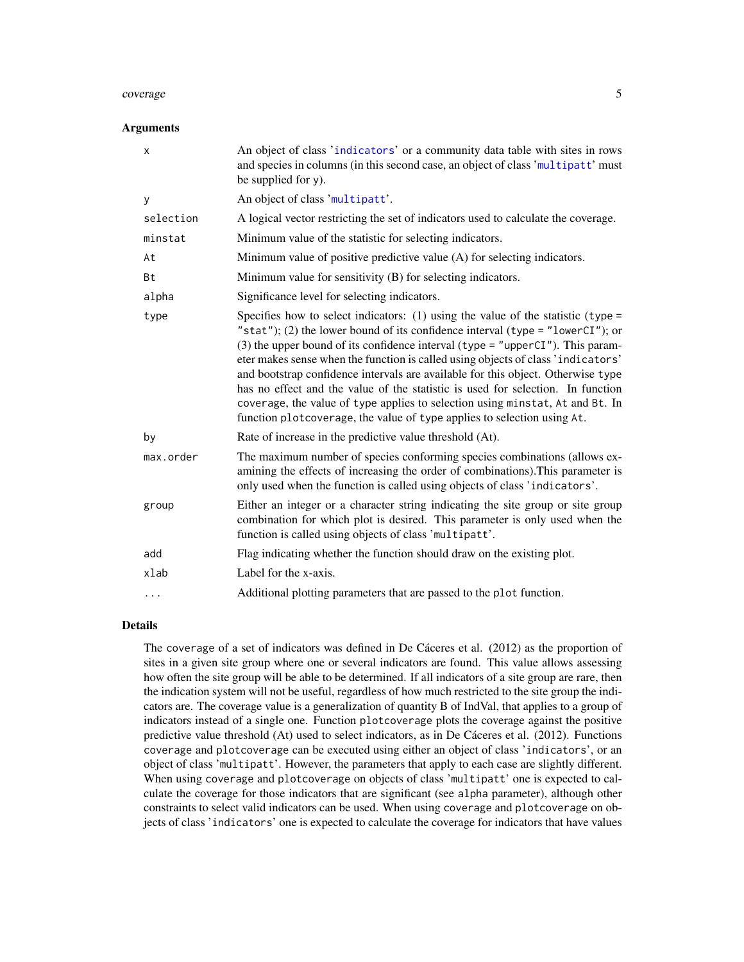#### <span id="page-4-0"></span>coverage 5 and 5 and 5 and 5 and 5 and 5 and 5 and 5 and 5 and 5 and 5 and 5 and 5 and 5 and 5 and 5 and 5 and 5 and 5 and 5 and 5 and 5 and 5 and 5 and 5 and 5 and 5 and 5 and 5 and 5 and 5 and 5 and 5 and 5 and 5 and 5 a

#### **Arguments**

| x         | An object of class 'indicators' or a community data table with sites in rows<br>and species in columns (in this second case, an object of class 'multipatt' must<br>be supplied for $y$ ).                                                                                                                                                                                                                                                                                                                                                                                                                                                                                  |
|-----------|-----------------------------------------------------------------------------------------------------------------------------------------------------------------------------------------------------------------------------------------------------------------------------------------------------------------------------------------------------------------------------------------------------------------------------------------------------------------------------------------------------------------------------------------------------------------------------------------------------------------------------------------------------------------------------|
| У         | An object of class 'multipatt'.                                                                                                                                                                                                                                                                                                                                                                                                                                                                                                                                                                                                                                             |
| selection | A logical vector restricting the set of indicators used to calculate the coverage.                                                                                                                                                                                                                                                                                                                                                                                                                                                                                                                                                                                          |
| minstat   | Minimum value of the statistic for selecting indicators.                                                                                                                                                                                                                                                                                                                                                                                                                                                                                                                                                                                                                    |
| At        | Minimum value of positive predictive value (A) for selecting indicators.                                                                                                                                                                                                                                                                                                                                                                                                                                                                                                                                                                                                    |
| Bt        | Minimum value for sensitivity (B) for selecting indicators.                                                                                                                                                                                                                                                                                                                                                                                                                                                                                                                                                                                                                 |
| alpha     | Significance level for selecting indicators.                                                                                                                                                                                                                                                                                                                                                                                                                                                                                                                                                                                                                                |
| type      | Specifies how to select indicators: (1) using the value of the statistic (type =<br>"stat"); (2) the lower bound of its confidence interval (type = "lowerCI"); or<br>(3) the upper bound of its confidence interval (type = "upperCI"). This param-<br>eter makes sense when the function is called using objects of class 'indicators'<br>and bootstrap confidence intervals are available for this object. Otherwise type<br>has no effect and the value of the statistic is used for selection. In function<br>coverage, the value of type applies to selection using minstat, At and Bt. In<br>function plotcoverage, the value of type applies to selection using At. |
| by        | Rate of increase in the predictive value threshold (At).                                                                                                                                                                                                                                                                                                                                                                                                                                                                                                                                                                                                                    |
| max.order | The maximum number of species conforming species combinations (allows ex-<br>amining the effects of increasing the order of combinations). This parameter is<br>only used when the function is called using objects of class 'indicators'.                                                                                                                                                                                                                                                                                                                                                                                                                                  |
| group     | Either an integer or a character string indicating the site group or site group<br>combination for which plot is desired. This parameter is only used when the<br>function is called using objects of class 'multipatt'.                                                                                                                                                                                                                                                                                                                                                                                                                                                    |
| add       | Flag indicating whether the function should draw on the existing plot.                                                                                                                                                                                                                                                                                                                                                                                                                                                                                                                                                                                                      |
| xlab      | Label for the x-axis.                                                                                                                                                                                                                                                                                                                                                                                                                                                                                                                                                                                                                                                       |
| .         | Additional plotting parameters that are passed to the plot function.                                                                                                                                                                                                                                                                                                                                                                                                                                                                                                                                                                                                        |

#### Details

The coverage of a set of indicators was defined in De Cáceres et al. (2012) as the proportion of sites in a given site group where one or several indicators are found. This value allows assessing how often the site group will be able to be determined. If all indicators of a site group are rare, then the indication system will not be useful, regardless of how much restricted to the site group the indicators are. The coverage value is a generalization of quantity B of IndVal, that applies to a group of indicators instead of a single one. Function plotcoverage plots the coverage against the positive predictive value threshold (At) used to select indicators, as in De Cáceres et al. (2012). Functions coverage and plotcoverage can be executed using either an object of class 'indicators', or an object of class 'multipatt'. However, the parameters that apply to each case are slightly different. When using coverage and plotcoverage on objects of class 'multipatt' one is expected to calculate the coverage for those indicators that are significant (see alpha parameter), although other constraints to select valid indicators can be used. When using coverage and plotcoverage on objects of class 'indicators' one is expected to calculate the coverage for indicators that have values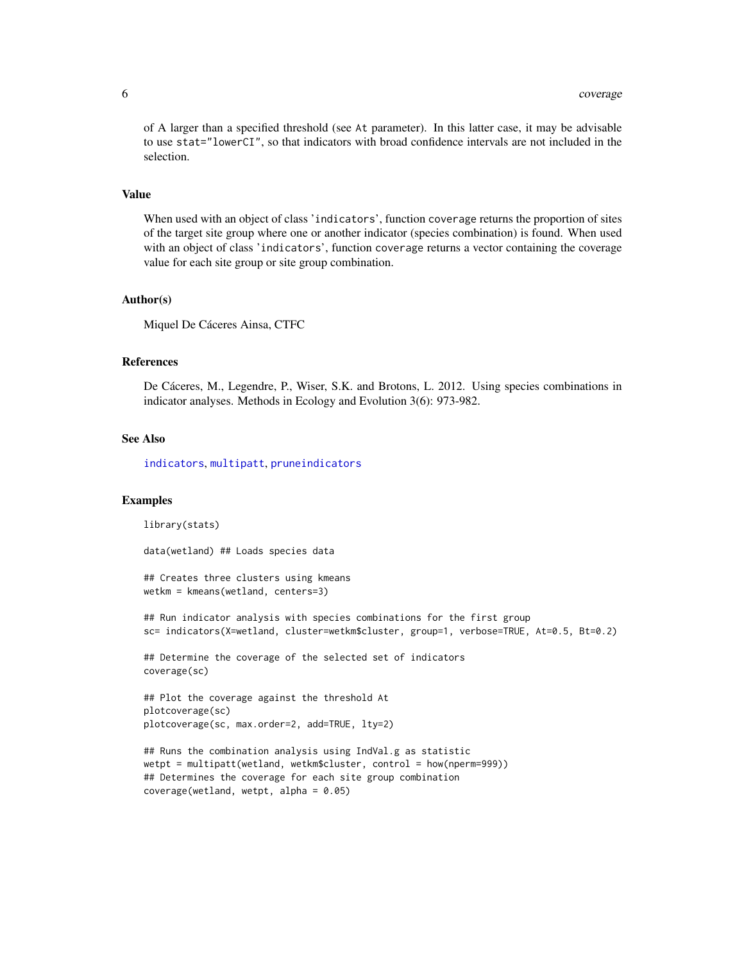<span id="page-5-0"></span>of A larger than a specified threshold (see At parameter). In this latter case, it may be advisable to use stat="lowerCI", so that indicators with broad confidence intervals are not included in the selection.

#### Value

When used with an object of class 'indicators', function coverage returns the proportion of sites of the target site group where one or another indicator (species combination) is found. When used with an object of class 'indicators', function coverage returns a vector containing the coverage value for each site group or site group combination.

#### Author(s)

Miquel De Cáceres Ainsa, CTFC

#### References

De Cáceres, M., Legendre, P., Wiser, S.K. and Brotons, L. 2012. Using species combinations in indicator analyses. Methods in Ecology and Evolution 3(6): 973-982.

#### See Also

[indicators](#page-6-1), [multipatt](#page-9-1), [pruneindicators](#page-21-1)

#### Examples

library(stats) data(wetland) ## Loads species data ## Creates three clusters using kmeans wetkm = kmeans(wetland, centers=3) ## Run indicator analysis with species combinations for the first group sc= indicators(X=wetland, cluster=wetkm\$cluster, group=1, verbose=TRUE, At=0.5, Bt=0.2) ## Determine the coverage of the selected set of indicators coverage(sc) ## Plot the coverage against the threshold At plotcoverage(sc) plotcoverage(sc, max.order=2, add=TRUE, lty=2) ## Runs the combination analysis using IndVal.g as statistic wetpt = multipatt(wetland, wetkm\$cluster, control = how(nperm=999)) ## Determines the coverage for each site group combination coverage(wetland, wetpt, alpha = 0.05)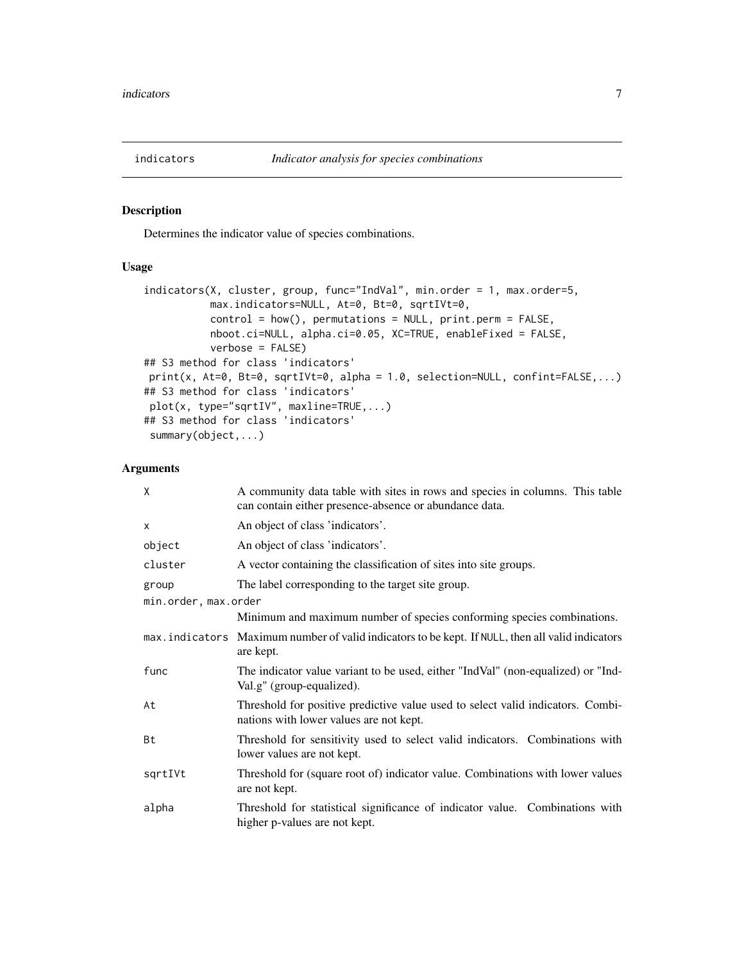<span id="page-6-1"></span><span id="page-6-0"></span>

#### Description

Determines the indicator value of species combinations.

# Usage

```
indicators(X, cluster, group, func="IndVal", min.order = 1, max.order=5,
           max.indicators=NULL, At=0, Bt=0, sqrtIVt=0,
          control = how(), permutations = NULL, print.perm = FALSE,
           nboot.ci=NULL, alpha.ci=0.05, XC=TRUE, enableFixed = FALSE,
           verbose = FALSE)
## S3 method for class 'indicators'
print(x, At=0, Bt=0, sqrtIVt=0, alpha = 1.0, selection=NULL, confint=FALSE,...)
## S3 method for class 'indicators'
plot(x, type="sqrtIV", maxline=TRUE,...)
## S3 method for class 'indicators'
summary(object,...)
```
# Arguments

| X                    | A community data table with sites in rows and species in columns. This table<br>can contain either presence-absence or abundance data. |
|----------------------|----------------------------------------------------------------------------------------------------------------------------------------|
| X                    | An object of class 'indicators'.                                                                                                       |
| object               | An object of class 'indicators'.                                                                                                       |
| cluster              | A vector containing the classification of sites into site groups.                                                                      |
| group                | The label corresponding to the target site group.                                                                                      |
| min.order, max.order |                                                                                                                                        |
|                      | Minimum and maximum number of species conforming species combinations.                                                                 |
|                      | max. indicators Maximum number of valid indicators to be kept. If NULL, then all valid indicators<br>are kept.                         |
| func                 | The indicator value variant to be used, either "IndVal" (non-equalized) or "Ind-<br>Val.g" (group-equalized).                          |
| At                   | Threshold for positive predictive value used to select valid indicators. Combi-<br>nations with lower values are not kept.             |
| Bt                   | Threshold for sensitivity used to select valid indicators. Combinations with<br>lower values are not kept.                             |
| sqrtIVt              | Threshold for (square root of) indicator value. Combinations with lower values<br>are not kept.                                        |
| alpha                | Threshold for statistical significance of indicator value. Combinations with<br>higher p-values are not kept.                          |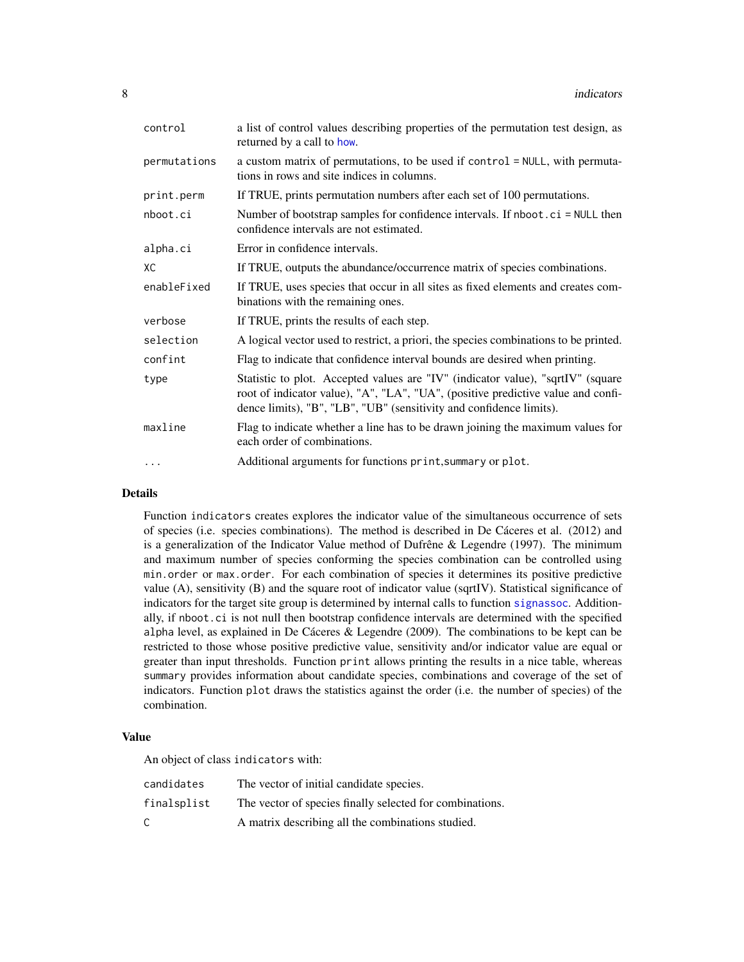<span id="page-7-0"></span>

| control      | a list of control values describing properties of the permutation test design, as<br>returned by a call to how.                                                                                                                            |
|--------------|--------------------------------------------------------------------------------------------------------------------------------------------------------------------------------------------------------------------------------------------|
| permutations | a custom matrix of permutations, to be used if control = NULL, with permuta-<br>tions in rows and site indices in columns.                                                                                                                 |
| print.perm   | If TRUE, prints permutation numbers after each set of 100 permutations.                                                                                                                                                                    |
| nboot.ci     | Number of bootstrap samples for confidence intervals. If nboot . ci = NULL then<br>confidence intervals are not estimated.                                                                                                                 |
| alpha.ci     | Error in confidence intervals.                                                                                                                                                                                                             |
| ХC           | If TRUE, outputs the abundance/occurrence matrix of species combinations.                                                                                                                                                                  |
| enableFixed  | If TRUE, uses species that occur in all sites as fixed elements and creates com-<br>binations with the remaining ones.                                                                                                                     |
| verbose      | If TRUE, prints the results of each step.                                                                                                                                                                                                  |
| selection    | A logical vector used to restrict, a priori, the species combinations to be printed.                                                                                                                                                       |
| confint      | Flag to indicate that confidence interval bounds are desired when printing.                                                                                                                                                                |
| type         | Statistic to plot. Accepted values are "IV" (indicator value), "sqrtIV" (square<br>root of indicator value), "A", "LA", "UA", (positive predictive value and confi-<br>dence limits), "B", "LB", "UB" (sensitivity and confidence limits). |
| maxline      | Flag to indicate whether a line has to be drawn joining the maximum values for<br>each order of combinations.                                                                                                                              |
| $\cdots$     | Additional arguments for functions print, summary or plot.                                                                                                                                                                                 |

# Details

Function indicators creates explores the indicator value of the simultaneous occurrence of sets of species (i.e. species combinations). The method is described in De Cáceres et al. (2012) and is a generalization of the Indicator Value method of Dufrêne & Legendre (1997). The minimum and maximum number of species conforming the species combination can be controlled using min.order or max.order. For each combination of species it determines its positive predictive value (A), sensitivity (B) and the square root of indicator value (sqrtIV). Statistical significance of indicators for the target site group is determined by internal calls to function [signassoc](#page-23-1). Additionally, if nboot.ci is not null then bootstrap confidence intervals are determined with the specified alpha level, as explained in De Cáceres & Legendre (2009). The combinations to be kept can be restricted to those whose positive predictive value, sensitivity and/or indicator value are equal or greater than input thresholds. Function print allows printing the results in a nice table, whereas summary provides information about candidate species, combinations and coverage of the set of indicators. Function plot draws the statistics against the order (i.e. the number of species) of the combination.

#### Value

An object of class indicators with:

| candidates  | The vector of initial candidate species.                 |
|-------------|----------------------------------------------------------|
| finalsplist | The vector of species finally selected for combinations. |
| C.          | A matrix describing all the combinations studied.        |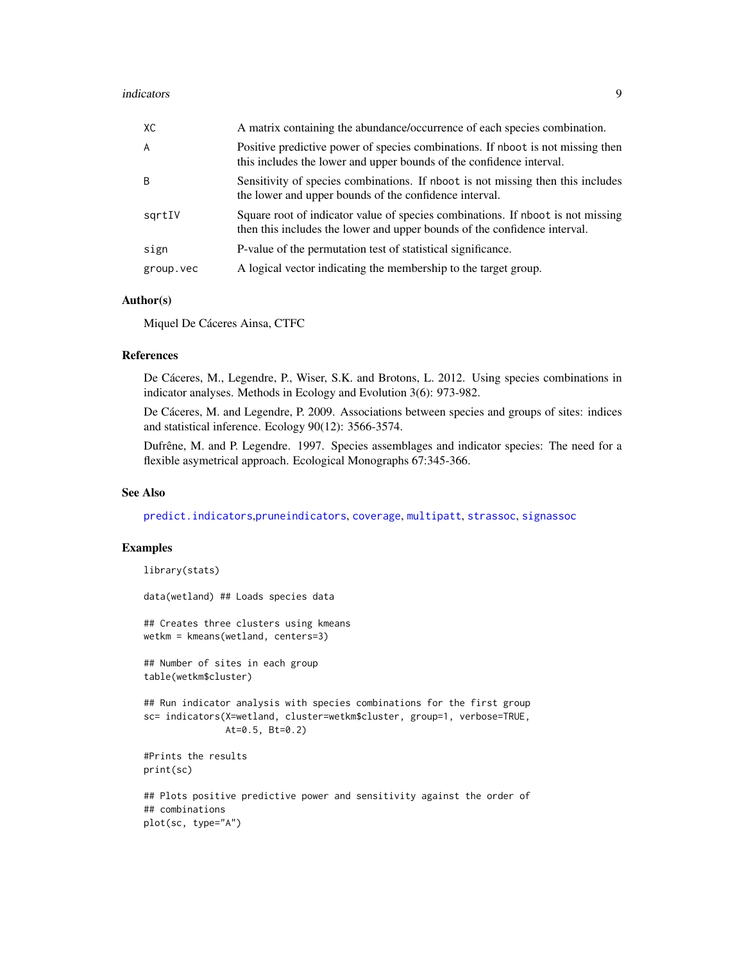<span id="page-8-0"></span>

| XC        | A matrix containing the abundance/occurrence of each species combination.                                                                                    |
|-----------|--------------------------------------------------------------------------------------------------------------------------------------------------------------|
| A         | Positive predictive power of species combinations. If nboot is not missing then<br>this includes the lower and upper bounds of the confidence interval.      |
| B         | Sensitivity of species combinations. If nboot is not missing then this includes<br>the lower and upper bounds of the confidence interval.                    |
| sqrtIV    | Square root of indicator value of species combinations. If nboot is not missing<br>then this includes the lower and upper bounds of the confidence interval. |
| sign      | P-value of the permutation test of statistical significance.                                                                                                 |
| group.vec | A logical vector indicating the membership to the target group.                                                                                              |

#### Author(s)

Miquel De Cáceres Ainsa, CTFC

#### References

De Cáceres, M., Legendre, P., Wiser, S.K. and Brotons, L. 2012. Using species combinations in indicator analyses. Methods in Ecology and Evolution 3(6): 973-982.

De Cáceres, M. and Legendre, P. 2009. Associations between species and groups of sites: indices and statistical inference. Ecology 90(12): 3566-3574.

Dufrêne, M. and P. Legendre. 1997. Species assemblages and indicator species: The need for a flexible asymetrical approach. Ecological Monographs 67:345-366.

### See Also

[predict.indicators](#page-19-1),[pruneindicators](#page-21-1), [coverage](#page-3-1), [multipatt](#page-9-1), [strassoc](#page-25-1), [signassoc](#page-23-1)

# Examples

```
library(stats)
data(wetland) ## Loads species data
## Creates three clusters using kmeans
wetkm = kmeans(wetland, centers=3)
## Number of sites in each group
table(wetkm$cluster)
## Run indicator analysis with species combinations for the first group
sc= indicators(X=wetland, cluster=wetkm$cluster, group=1, verbose=TRUE,
               At=0.5, Bt=0.2)
#Prints the results
print(sc)
## Plots positive predictive power and sensitivity against the order of
## combinations
plot(sc, type="A")
```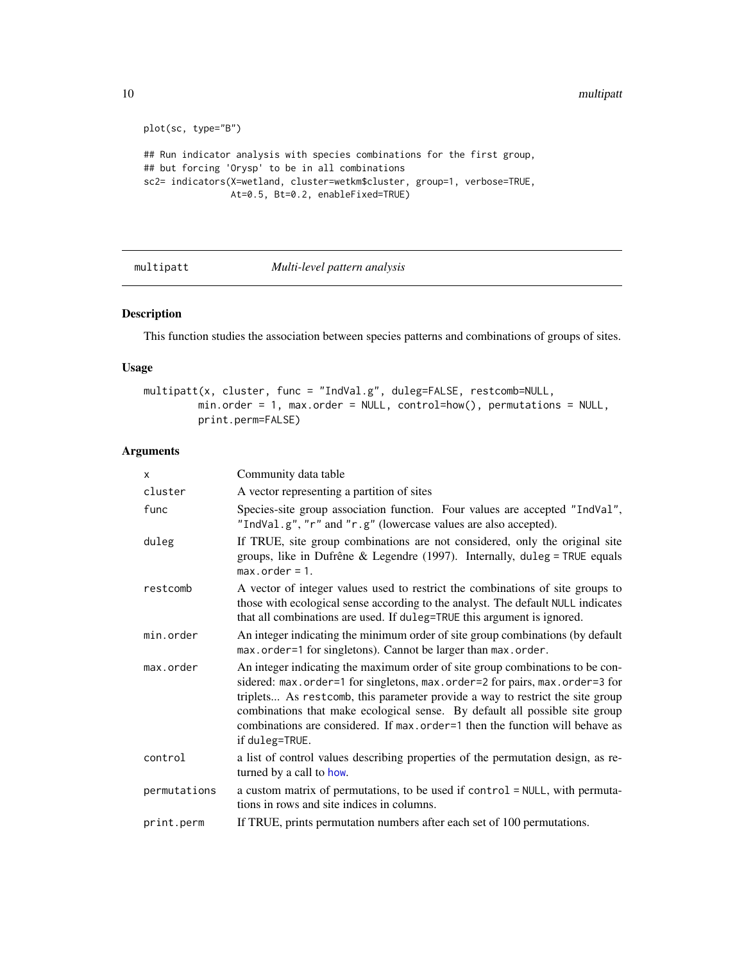```
plot(sc, type="B")
## Run indicator analysis with species combinations for the first group,
## but forcing 'Orysp' to be in all combinations
sc2= indicators(X=wetland, cluster=wetkm$cluster, group=1, verbose=TRUE,
               At=0.5, Bt=0.2, enableFixed=TRUE)
```
# <span id="page-9-1"></span>multipatt *Multi-level pattern analysis*

# Description

This function studies the association between species patterns and combinations of groups of sites.

# Usage

```
multipatt(x, cluster, func = "IndVal.g", duleg=FALSE, restcomb=NULL,
        min.order = 1, max.order = NULL, control=how(), permutations = NULL,
         print.perm=FALSE)
```
#### Arguments

| <b>X</b>     | Community data table                                                                                                                                                                                                                                                                                                                                                                                                             |
|--------------|----------------------------------------------------------------------------------------------------------------------------------------------------------------------------------------------------------------------------------------------------------------------------------------------------------------------------------------------------------------------------------------------------------------------------------|
| cluster      | A vector representing a partition of sites                                                                                                                                                                                                                                                                                                                                                                                       |
| func         | Species-site group association function. Four values are accepted "IndVal",<br>"IndVal.g", "r" and "r.g" (lowercase values are also accepted).                                                                                                                                                                                                                                                                                   |
| duleg        | If TRUE, site group combinations are not considered, only the original site<br>groups, like in Dufrêne & Legendre (1997). Internally, duleg = TRUE equals<br>$max. order = 1.$                                                                                                                                                                                                                                                   |
| restcomb     | A vector of integer values used to restrict the combinations of site groups to<br>those with ecological sense according to the analyst. The default NULL indicates<br>that all combinations are used. If duleg=TRUE this argument is ignored.                                                                                                                                                                                    |
| min.order    | An integer indicating the minimum order of site group combinations (by default<br>max.order=1 for singletons). Cannot be larger than max.order.                                                                                                                                                                                                                                                                                  |
| max.order    | An integer indicating the maximum order of site group combinations to be con-<br>sidered: max.order=1 for singletons, max.order=2 for pairs, max.order=3 for<br>triplets As rest comb, this parameter provide a way to restrict the site group<br>combinations that make ecological sense. By default all possible site group<br>combinations are considered. If max, order=1 then the function will behave as<br>if duleg=TRUE. |
| control      | a list of control values describing properties of the permutation design, as re-<br>turned by a call to how.                                                                                                                                                                                                                                                                                                                     |
| permutations | a custom matrix of permutations, to be used if control = NULL, with permuta-<br>tions in rows and site indices in columns.                                                                                                                                                                                                                                                                                                       |
| print.perm   | If TRUE, prints permutation numbers after each set of 100 permutations.                                                                                                                                                                                                                                                                                                                                                          |

<span id="page-9-0"></span>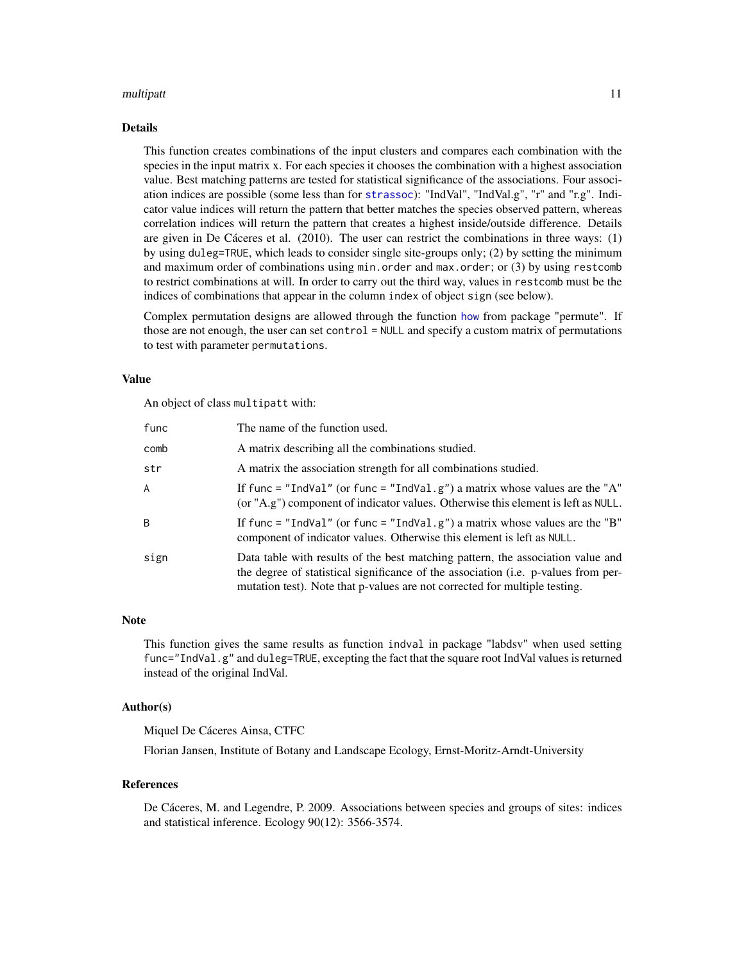#### <span id="page-10-0"></span>multipatt the contract of the contract of the contract of the contract of the contract of the contract of the contract of the contract of the contract of the contract of the contract of the contract of the contract of the

#### Details

This function creates combinations of the input clusters and compares each combination with the species in the input matrix x. For each species it chooses the combination with a highest association value. Best matching patterns are tested for statistical significance of the associations. Four association indices are possible (some less than for [strassoc](#page-25-1)): "IndVal", "IndVal.g", "r" and "r.g". Indicator value indices will return the pattern that better matches the species observed pattern, whereas correlation indices will return the pattern that creates a highest inside/outside difference. Details are given in De Cáceres et al. (2010). The user can restrict the combinations in three ways: (1) by using duleg=TRUE, which leads to consider single site-groups only; (2) by setting the minimum and maximum order of combinations using min.order and max.order; or (3) by using restcomb to restrict combinations at will. In order to carry out the third way, values in restcomb must be the indices of combinations that appear in the column index of object sign (see below).

Complex permutation designs are allowed through the function [how](#page-0-0) from package "permute". If those are not enough, the user can set control = NULL and specify a custom matrix of permutations to test with parameter permutations.

# Value

An object of class multipatt with:

| func         | The name of the function used.                                                                                                                                                                                                                      |
|--------------|-----------------------------------------------------------------------------------------------------------------------------------------------------------------------------------------------------------------------------------------------------|
| comb         | A matrix describing all the combinations studied.                                                                                                                                                                                                   |
| str          | A matrix the association strength for all combinations studied.                                                                                                                                                                                     |
| A            | If func = "IndVal" (or func = "IndVal.g") a matrix whose values are the "A"<br>(or "A.g") component of indicator values. Otherwise this element is left as NULL.                                                                                    |
| <sub>R</sub> | If func = "IndVal" (or func = "IndVal.g") a matrix whose values are the "B"<br>component of indicator values. Otherwise this element is left as NULL.                                                                                               |
| sign         | Data table with results of the best matching pattern, the association value and<br>the degree of statistical significance of the association (i.e. p-values from per-<br>mutation test). Note that p-values are not corrected for multiple testing. |

#### Note

This function gives the same results as function indval in package "labdsv" when used setting func="IndVal.g" and duleg=TRUE, excepting the fact that the square root IndVal values is returned instead of the original IndVal.

#### Author(s)

Miquel De Cáceres Ainsa, CTFC

Florian Jansen, Institute of Botany and Landscape Ecology, Ernst-Moritz-Arndt-University

#### References

De Cáceres, M. and Legendre, P. 2009. Associations between species and groups of sites: indices and statistical inference. Ecology 90(12): 3566-3574.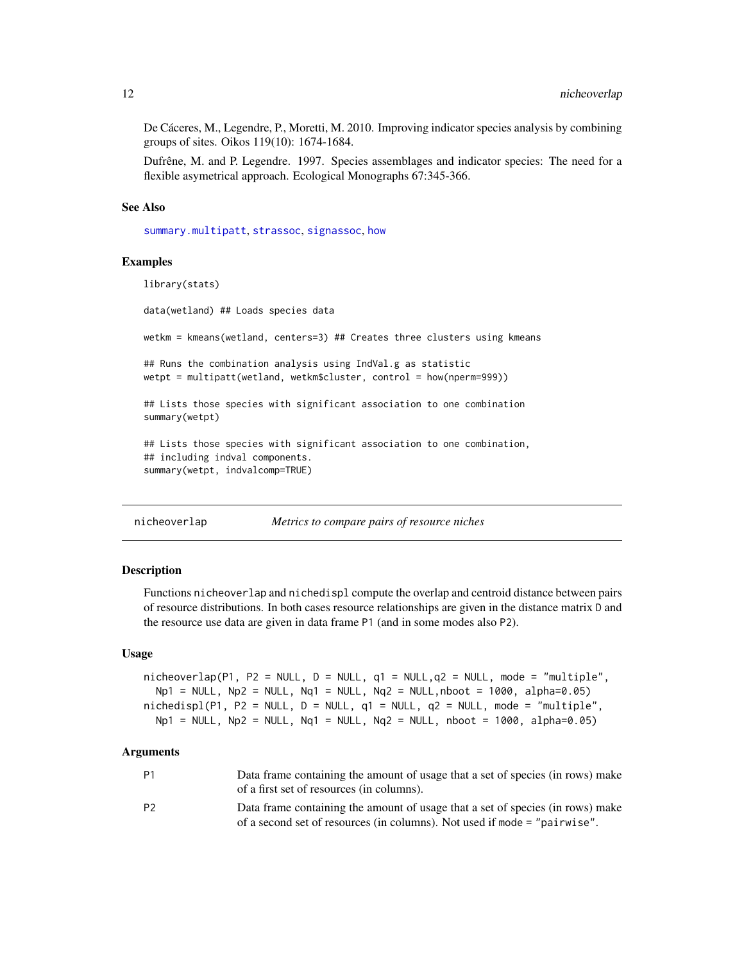<span id="page-11-0"></span>De Cáceres, M., Legendre, P., Moretti, M. 2010. Improving indicator species analysis by combining groups of sites. Oikos 119(10): 1674-1684.

Dufrêne, M. and P. Legendre. 1997. Species assemblages and indicator species: The need for a flexible asymetrical approach. Ecological Monographs 67:345-366.

#### See Also

[summary.multipatt](#page-27-1), [strassoc](#page-25-1), [signassoc](#page-23-1), [how](#page-0-0)

#### Examples

```
library(stats)
data(wetland) ## Loads species data
wetkm = kmeans(wetland, centers=3) ## Creates three clusters using kmeans
## Runs the combination analysis using IndVal.g as statistic
wetpt = multipatt(wetland, wetkm$cluster, control = how(nperm=999))
## Lists those species with significant association to one combination
summary(wetpt)
## Lists those species with significant association to one combination,
## including indval components.
summary(wetpt, indvalcomp=TRUE)
```
<span id="page-11-1"></span>nicheoverlap *Metrics to compare pairs of resource niches*

# **Description**

Functions nicheoverlap and nichedispl compute the overlap and centroid distance between pairs of resource distributions. In both cases resource relationships are given in the distance matrix D and the resource use data are given in data frame P1 (and in some modes also P2).

#### Usage

```
nicheoverlap(P1, P2 = NULL, D = NULL, q1 = NULL,q2 = NULL, mode = "multiple",
 Np1 = NULL, Np2 = NULL, Nq1 = NULL, Nq2 = NULL, nboot = 1000, alpha=0.05)
nichedispl(P1, P2 = NULL, D = NULL, q1 = NULL, q2 = NULL, mode = "multiple",Np1 = NULL, Np2 = NULL, Nq1 = NULL, Nq2 = NULL, nboot = 1000, alpha=0.05)
```
# Arguments

| P1             | Data frame containing the amount of usage that a set of species (in rows) make |
|----------------|--------------------------------------------------------------------------------|
|                | of a first set of resources (in columns).                                      |
| P <sub>2</sub> | Data frame containing the amount of usage that a set of species (in rows) make |
|                | of a second set of resources (in columns). Not used if mode = "pairwise".      |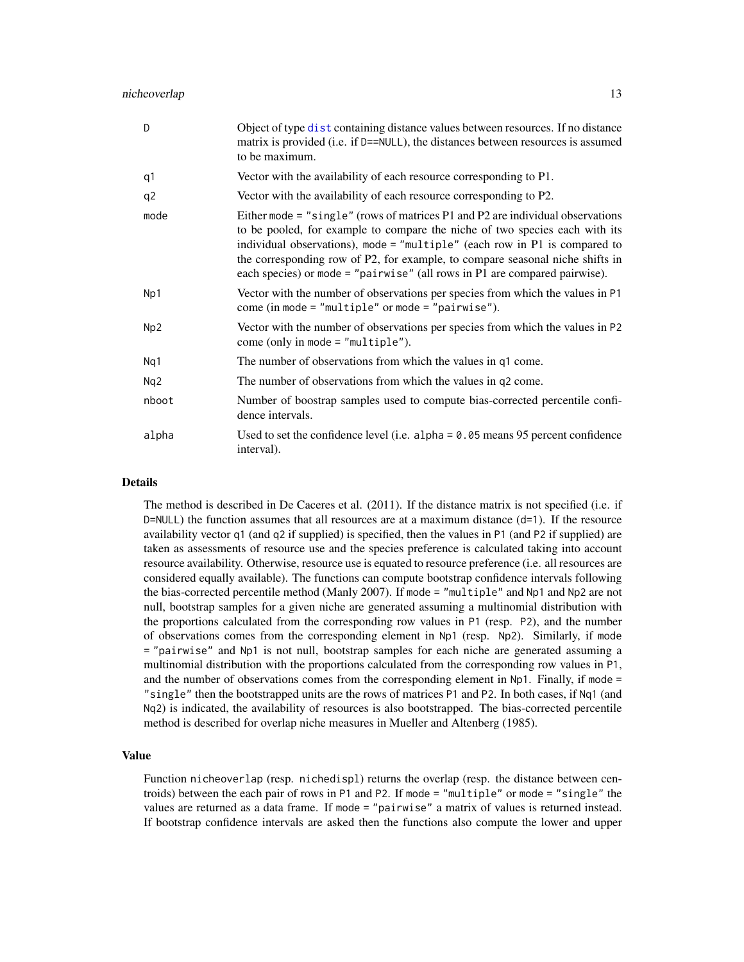#### <span id="page-12-0"></span>nicheoverlap 13

| D              | Object of type dist containing distance values between resources. If no distance<br>matrix is provided (i.e. if D==NULL), the distances between resources is assumed<br>to be maximum.                                                                                                                                                                                                                         |
|----------------|----------------------------------------------------------------------------------------------------------------------------------------------------------------------------------------------------------------------------------------------------------------------------------------------------------------------------------------------------------------------------------------------------------------|
| q1             | Vector with the availability of each resource corresponding to P1.                                                                                                                                                                                                                                                                                                                                             |
| q <sub>2</sub> | Vector with the availability of each resource corresponding to P2.                                                                                                                                                                                                                                                                                                                                             |
| mode           | Either mode $=$ "single" (rows of matrices P1 and P2 are individual observations<br>to be pooled, for example to compare the niche of two species each with its<br>individual observations), mode = "multiple" (each row in $P1$ is compared to<br>the corresponding row of P2, for example, to compare seasonal niche shifts in<br>each species) or mode = "pairwise" (all rows in P1 are compared pairwise). |
| Np1            | Vector with the number of observations per species from which the values in P1<br>come (in mode = "multiple" or mode = "pairwise").                                                                                                                                                                                                                                                                            |
| Np2            | Vector with the number of observations per species from which the values in P2<br>come (only in mode $=$ "multiple").                                                                                                                                                                                                                                                                                          |
| Nq1            | The number of observations from which the values in q1 come.                                                                                                                                                                                                                                                                                                                                                   |
| Nq2            | The number of observations from which the values in q2 come.                                                                                                                                                                                                                                                                                                                                                   |
| nboot          | Number of boostrap samples used to compute bias-corrected percentile confi-<br>dence intervals.                                                                                                                                                                                                                                                                                                                |
| alpha          | Used to set the confidence level (i.e. alpha = $0.05$ means 95 percent confidence<br>interval).                                                                                                                                                                                                                                                                                                                |

# Details

The method is described in De Caceres et al. (2011). If the distance matrix is not specified (i.e. if  $D=NULL$ ) the function assumes that all resources are at a maximum distance ( $d=1$ ). If the resource availability vector q1 (and q2 if supplied) is specified, then the values in P1 (and P2 if supplied) are taken as assessments of resource use and the species preference is calculated taking into account resource availability. Otherwise, resource use is equated to resource preference (i.e. all resources are considered equally available). The functions can compute bootstrap confidence intervals following the bias-corrected percentile method (Manly 2007). If mode = "multiple" and Np1 and Np2 are not null, bootstrap samples for a given niche are generated assuming a multinomial distribution with the proportions calculated from the corresponding row values in P1 (resp. P2), and the number of observations comes from the corresponding element in Np1 (resp. Np2). Similarly, if mode = "pairwise" and Np1 is not null, bootstrap samples for each niche are generated assuming a multinomial distribution with the proportions calculated from the corresponding row values in P1, and the number of observations comes from the corresponding element in  $Np1$ . Finally, if mode = "single" then the bootstrapped units are the rows of matrices P1 and P2. In both cases, if Nq1 (and Nq2) is indicated, the availability of resources is also bootstrapped. The bias-corrected percentile method is described for overlap niche measures in Mueller and Altenberg (1985).

# Value

Function nicheoverlap (resp. nichedispl) returns the overlap (resp. the distance between centroids) between the each pair of rows in P1 and P2. If mode = "multiple" or mode = "single" the values are returned as a data frame. If mode = "pairwise" a matrix of values is returned instead. If bootstrap confidence intervals are asked then the functions also compute the lower and upper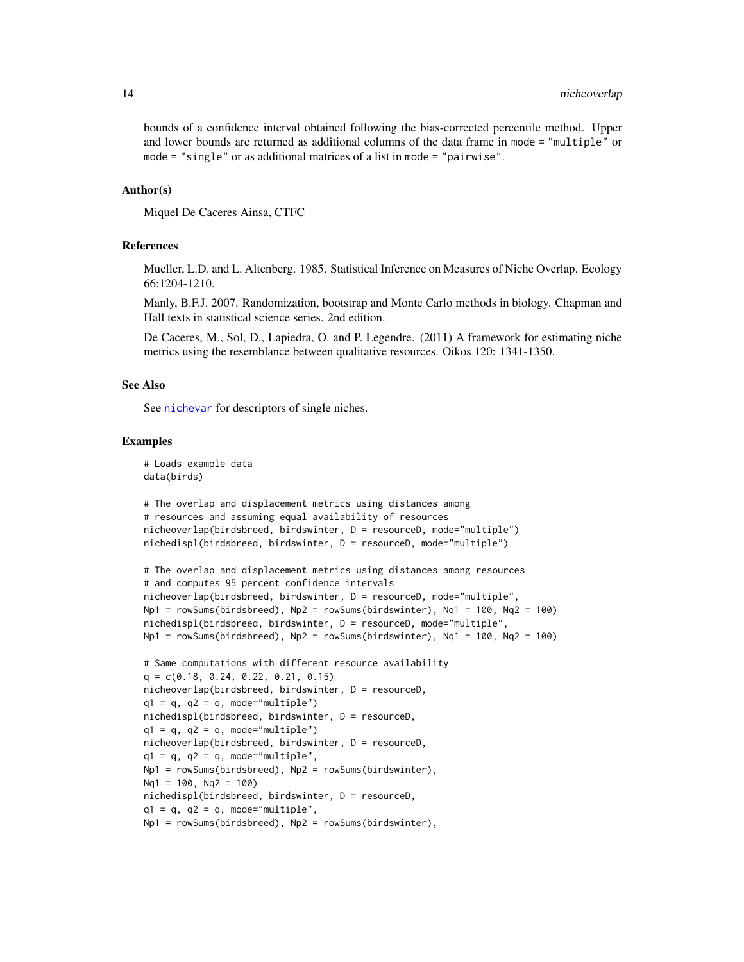<span id="page-13-0"></span>bounds of a confidence interval obtained following the bias-corrected percentile method. Upper and lower bounds are returned as additional columns of the data frame in mode = "multiple" or mode = "single" or as additional matrices of a list in mode = "pairwise".

#### Author(s)

Miquel De Caceres Ainsa, CTFC

#### References

Mueller, L.D. and L. Altenberg. 1985. Statistical Inference on Measures of Niche Overlap. Ecology 66:1204-1210.

Manly, B.F.J. 2007. Randomization, bootstrap and Monte Carlo methods in biology. Chapman and Hall texts in statistical science series. 2nd edition.

De Caceres, M., Sol, D., Lapiedra, O. and P. Legendre. (2011) A framework for estimating niche metrics using the resemblance between qualitative resources. Oikos 120: 1341-1350.

#### See Also

See [nichevar](#page-14-1) for descriptors of single niches.

#### Examples

```
# Loads example data
data(birds)
```

```
# The overlap and displacement metrics using distances among
# resources and assuming equal availability of resources
nicheoverlap(birdsbreed, birdswinter, D = resourceD, mode="multiple")
nichedispl(birdsbreed, birdswinter, D = resourceD, mode="multiple")
```

```
# The overlap and displacement metrics using distances among resources
# and computes 95 percent confidence intervals
nicheoverlap(birdsbreed, birdswinter, D = resourceD, mode="multiple",
Np1 = rowSums(birdsbreed), Np2 = rowSums(birdswinter), Nq1 = 100, Nq2 = 100)
nichedispl(birdsbreed, birdswinter, D = resourceD, mode="multiple",
Np1 = rowSums(birdsbreed), Np2 = rowSums(birdswinter), Nq1 = 100, Nq2 = 100)
```

```
# Same computations with different resource availability
q = c(0.18, 0.24, 0.22, 0.21, 0.15)nicheoverlap(birdsbreed, birdswinter, D = resourceD,
q1 = q, q2 = q, mode="multiple")
nichedispl(birdsbreed, birdswinter, D = resourceD,
q1 = q, q2 = q, mode="multiple")
nicheoverlap(birdsbreed, birdswinter, D = resourceD,
q1 = q, q2 = q, mode="multiple",
Np1 = rowSums(birdsbreed), Np2 = rowSums(birdswinter),
Nq1 = 100, Nq2 = 100nichedispl(birdsbreed, birdswinter, D = resourceD,
q1 = q, q2 = q, mode="multiple",
Np1 = rowSums(birdsbreed), Np2 = rowSums(birdswinter),
```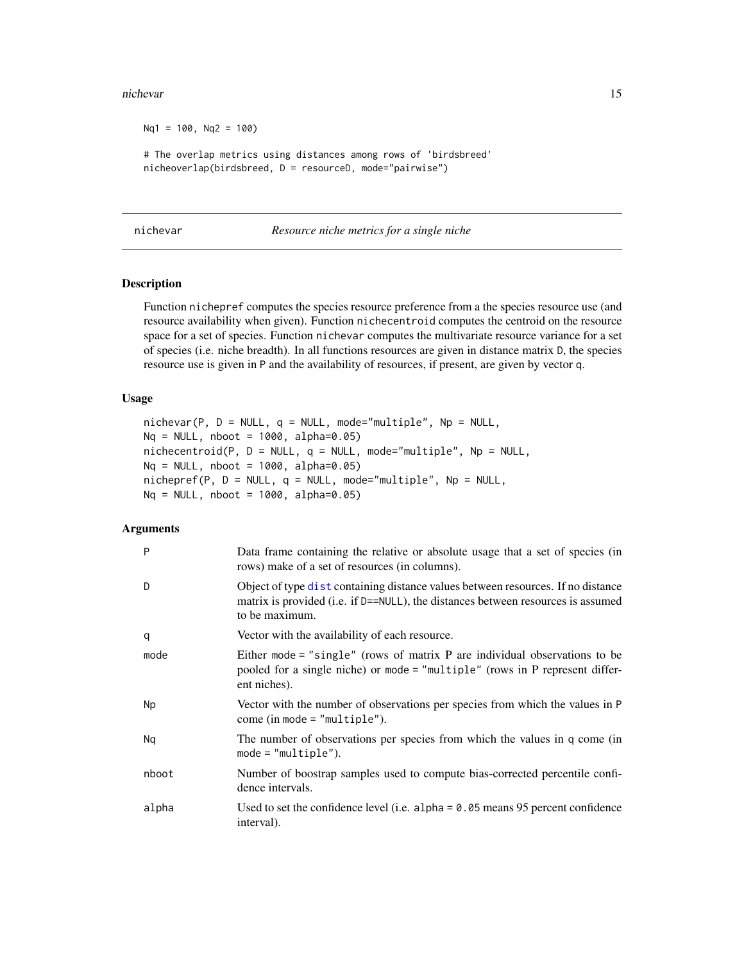#### <span id="page-14-0"></span>nichevar 15

```
Nq1 = 100, Nq2 = 100# The overlap metrics using distances among rows of 'birdsbreed'
nicheoverlap(birdsbreed, D = resourceD, mode="pairwise")
```
<span id="page-14-1"></span>

| nichevar |
|----------|
|          |
|          |
|          |

# nichevar *Resource niche metrics for a single niche*

# Description

Function nichepref computes the species resource preference from a the species resource use (and resource availability when given). Function nichecentroid computes the centroid on the resource space for a set of species. Function nichevar computes the multivariate resource variance for a set of species (i.e. niche breadth). In all functions resources are given in distance matrix D, the species resource use is given in P and the availability of resources, if present, are given by vector q.

#### Usage

```
nichevar(P, D = NULL, q = NULL, mode="multiple", Np = NULL,Nq = NULL, nboot = 1000, alpha=0.05)
nichecentroid(P, D = NULL, q = NULL, mode="multiple", Np = NULL,Nq = NULL, nboot = 1000, alpha=0.05)
nichepref(P, D = NULL, q = NULL, mode="multiple", Np = NULL,Nq = NULL, nboot = 1000, alpha=0.05)
```
# Arguments

| P         | Data frame containing the relative or absolute usage that a set of species (in<br>rows) make of a set of resources (in columns).                                                       |
|-----------|----------------------------------------------------------------------------------------------------------------------------------------------------------------------------------------|
| D         | Object of type dist containing distance values between resources. If no distance<br>matrix is provided (i.e. if D==NULL), the distances between resources is assumed<br>to be maximum. |
| q         | Vector with the availability of each resource.                                                                                                                                         |
| mode      | Either mode $=$ "single" (rows of matrix P are individual observations to be<br>pooled for a single niche) or mode = "multiple" (rows in P represent differ-<br>ent niches).           |
| <b>Np</b> | Vector with the number of observations per species from which the values in P<br>$come (in mode = "multiple").$                                                                        |
| Na        | The number of observations per species from which the values in q come (in<br>$mode = "multiple").$                                                                                    |
| nboot     | Number of boostrap samples used to compute bias-corrected percentile confi-<br>dence intervals.                                                                                        |
| alpha     | Used to set the confidence level (i.e. alpha = $0.05$ means 95 percent confidence<br>interval).                                                                                        |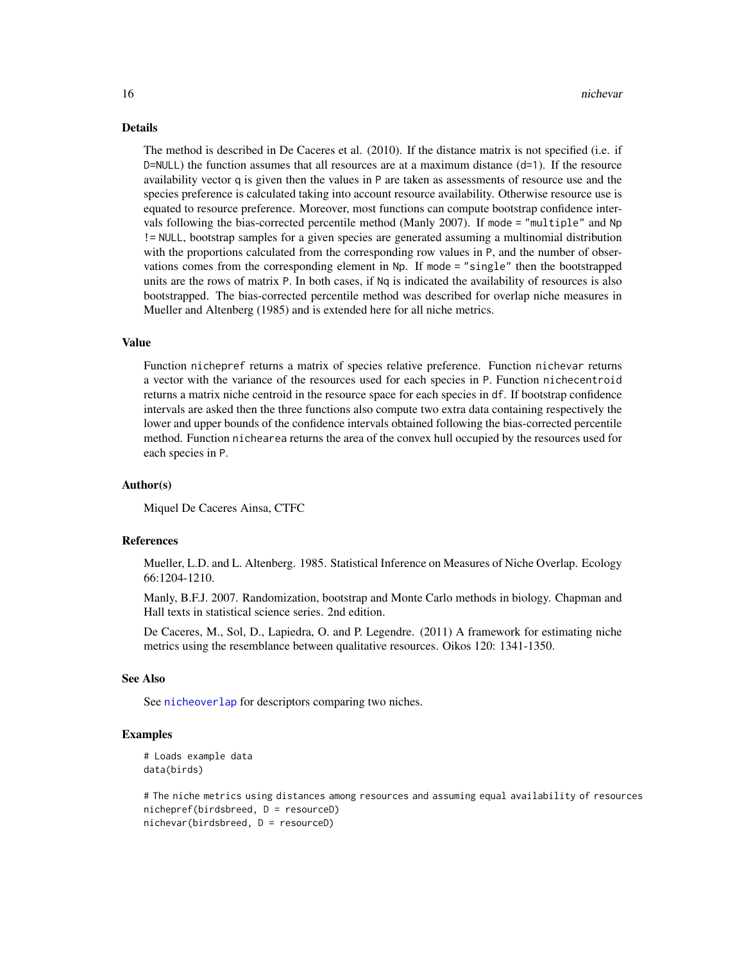#### Details

The method is described in De Caceres et al. (2010). If the distance matrix is not specified (i.e. if  $D=NULL$ ) the function assumes that all resources are at a maximum distance ( $d=1$ ). If the resource availability vector q is given then the values in P are taken as assessments of resource use and the species preference is calculated taking into account resource availability. Otherwise resource use is equated to resource preference. Moreover, most functions can compute bootstrap confidence intervals following the bias-corrected percentile method (Manly 2007). If mode = "multiple" and Np != NULL, bootstrap samples for a given species are generated assuming a multinomial distribution with the proportions calculated from the corresponding row values in P, and the number of observations comes from the corresponding element in Np. If mode = "single" then the bootstrapped units are the rows of matrix P. In both cases, if Nq is indicated the availability of resources is also bootstrapped. The bias-corrected percentile method was described for overlap niche measures in Mueller and Altenberg (1985) and is extended here for all niche metrics.

#### Value

Function nichepref returns a matrix of species relative preference. Function nichevar returns a vector with the variance of the resources used for each species in P. Function nichecentroid returns a matrix niche centroid in the resource space for each species in df. If bootstrap confidence intervals are asked then the three functions also compute two extra data containing respectively the lower and upper bounds of the confidence intervals obtained following the bias-corrected percentile method. Function nichearea returns the area of the convex hull occupied by the resources used for each species in P.

#### Author(s)

Miquel De Caceres Ainsa, CTFC

# References

Mueller, L.D. and L. Altenberg. 1985. Statistical Inference on Measures of Niche Overlap. Ecology 66:1204-1210.

Manly, B.F.J. 2007. Randomization, bootstrap and Monte Carlo methods in biology. Chapman and Hall texts in statistical science series. 2nd edition.

De Caceres, M., Sol, D., Lapiedra, O. and P. Legendre. (2011) A framework for estimating niche metrics using the resemblance between qualitative resources. Oikos 120: 1341-1350.

# See Also

See [nicheoverlap](#page-11-1) for descriptors comparing two niches.

#### Examples

```
# Loads example data
data(birds)
```

```
# The niche metrics using distances among resources and assuming equal availability of resources
nichepref(birdsbreed, D = resourceD)
nichevar(birdsbreed, D = resourceD)
```
<span id="page-15-0"></span>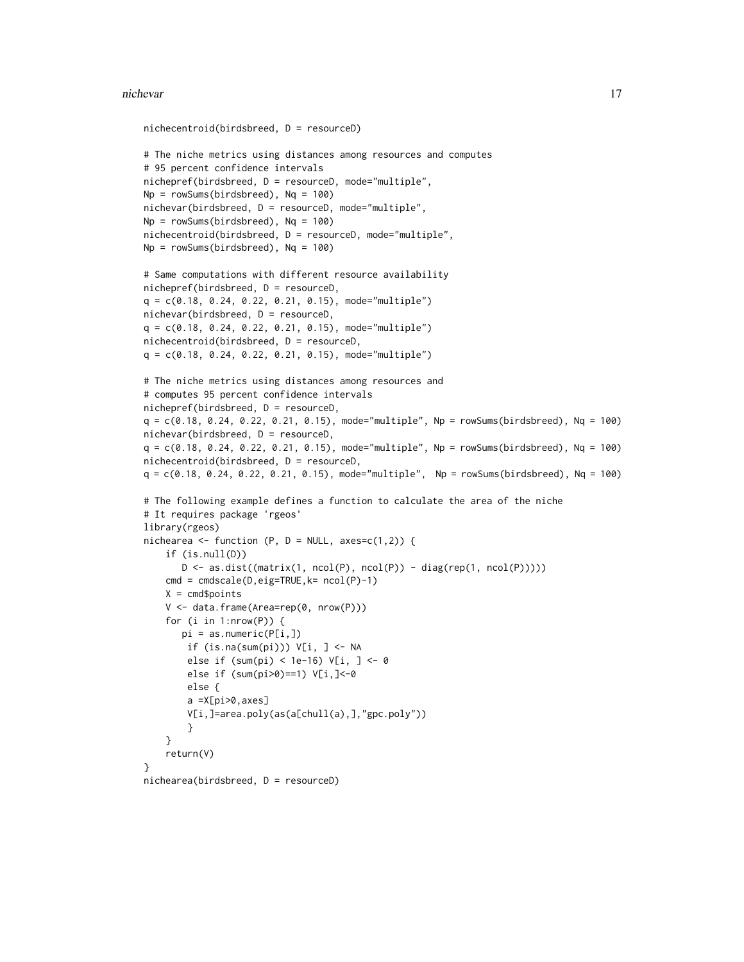#### nichevar 17

```
nichecentroid(birdsbreed, D = resourceD)
# The niche metrics using distances among resources and computes
# 95 percent confidence intervals
nichepref(birdsbreed, D = resourceD, mode="multiple",
Np = rowsums(birdsbreed), Nq = 100)nichevar(birdsbreed, D = resourceD, mode="multiple",
Np = rowsums(birdsbreed), Nq = 100)nichecentroid(birdsbreed, D = resourceD, mode="multiple",
Np = rowSums(birdsbreed), Nq = 100)
# Same computations with different resource availability
nichepref(birdsbreed, D = resourceD,
q = c(0.18, 0.24, 0.22, 0.21, 0.15), mode="multiple")
nichevar(birdsbreed, D = resourceD,
q = c(0.18, 0.24, 0.22, 0.21, 0.15), mode="multiple")
nichecentroid(birdsbreed, D = resourceD,
q = c(0.18, 0.24, 0.22, 0.21, 0.15), mode="multiple")
# The niche metrics using distances among resources and
# computes 95 percent confidence intervals
nichepref(birdsbreed, D = resourceD,
q = c(0.18, 0.24, 0.22, 0.21, 0.15), mode="multiple", Np = rowSums(birdsbreed), Nq = 100)
nichevar(birdsbreed, D = resourceD,
q = c(0.18, 0.24, 0.22, 0.21, 0.15), mode="multiple", Np = rowSums(birdsbreed), Nq = 100)
nichecentroid(birdsbreed, D = resourceD,
q = c(0.18, 0.24, 0.22, 0.21, 0.15), mode="multiple", Np = rowSums(birdsbreed), Nq = 100)
# The following example defines a function to calculate the area of the niche
# It requires package 'rgeos'
library(rgeos)
nichearea <- function (P, D = NULL, axes=c(1,2)) {
    if (is.null(D))
       D \leftarrow as.dist((matrix(1, ncol(P), ncol(P)) - diag(rep(1, ncol(P))))cmd = cmdscale(D,eig=TRUE,k= ncol(P)-1)
   X = \text{cmd}spoints
    V <- data.frame(Area=rep(0, nrow(P)))
    for (i in 1: nrow(P)) {
       pi = as.numeric(P[i,])
        if (is.na(sum(pi))) V[i, ] <- NA
        else if (sum(pi) < 1e-16) V[i, ] <- 0
        else if (sum(pi>0)==1) V[i,]<-0
        else {
        a =X[pi>0,axes]
        V[i,]=area.poly(as(a[chull(a),],"gpc.poly"))
        }
    }
   return(V)
}
nichearea(birdsbreed, D = resourceD)
```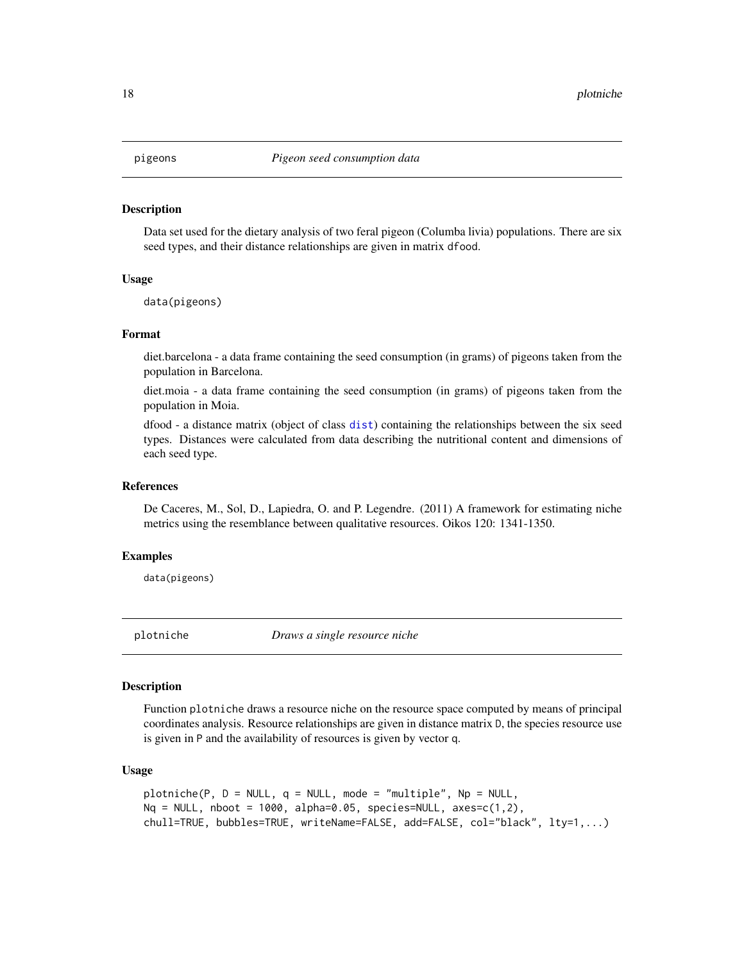#### <span id="page-17-0"></span>Description

Data set used for the dietary analysis of two feral pigeon (Columba livia) populations. There are six seed types, and their distance relationships are given in matrix dfood.

#### Usage

data(pigeons)

# Format

diet.barcelona - a data frame containing the seed consumption (in grams) of pigeons taken from the population in Barcelona.

diet.moia - a data frame containing the seed consumption (in grams) of pigeons taken from the population in Moia.

dfood - a distance matrix (object of class [dist](#page-0-0)) containing the relationships between the six seed types. Distances were calculated from data describing the nutritional content and dimensions of each seed type.

#### References

De Caceres, M., Sol, D., Lapiedra, O. and P. Legendre. (2011) A framework for estimating niche metrics using the resemblance between qualitative resources. Oikos 120: 1341-1350.

#### Examples

data(pigeons)

plotniche *Draws a single resource niche*

#### Description

Function plotniche draws a resource niche on the resource space computed by means of principal coordinates analysis. Resource relationships are given in distance matrix D, the species resource use is given in P and the availability of resources is given by vector q.

#### Usage

```
plotniche(P, D = NULL, q = NULL, mode = "multiple", Np = NULL,
Nq = NULL, nboot = 1000, alpha=0.05, species=NULL, axes=c(1,2),
chull=TRUE, bubbles=TRUE, writeName=FALSE, add=FALSE, col="black", lty=1,...)
```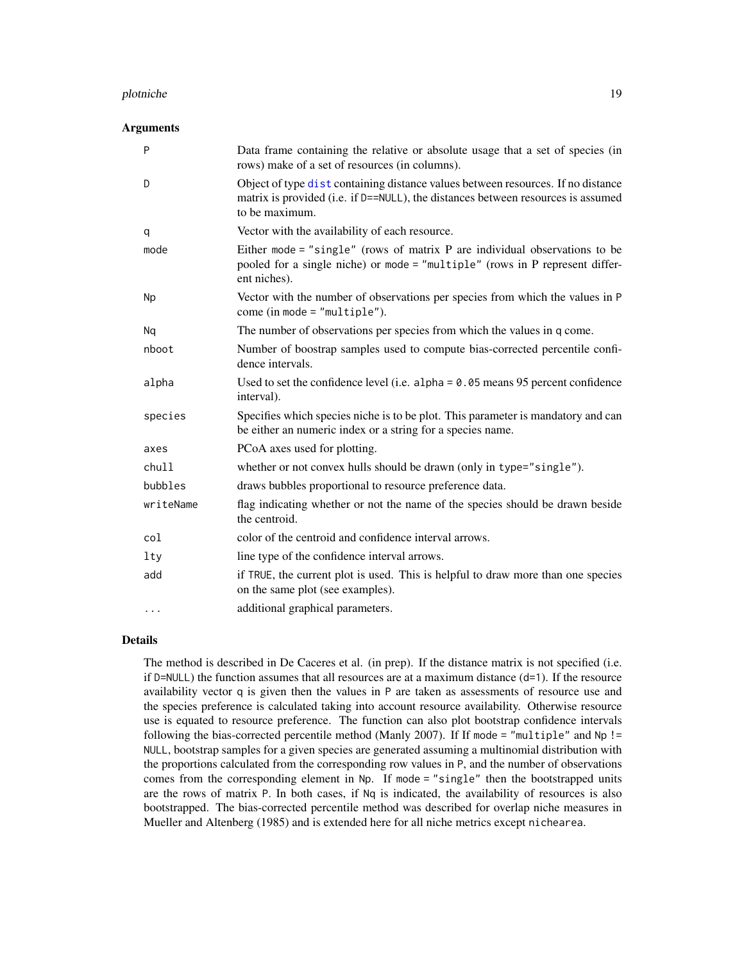#### <span id="page-18-0"></span>plotniche 19

#### **Arguments**

| P         | Data frame containing the relative or absolute usage that a set of species (in<br>rows) make of a set of resources (in columns).                                                       |
|-----------|----------------------------------------------------------------------------------------------------------------------------------------------------------------------------------------|
| D         | Object of type dist containing distance values between resources. If no distance<br>matrix is provided (i.e. if D==NULL), the distances between resources is assumed<br>to be maximum. |
| q         | Vector with the availability of each resource.                                                                                                                                         |
| mode      | Either mode = "single" (rows of matrix P are individual observations to be<br>pooled for a single niche) or mode = "multiple" (rows in P represent differ-<br>ent niches).             |
| <b>Np</b> | Vector with the number of observations per species from which the values in P<br>come (in mode = $"multiple".$                                                                         |
| Nq        | The number of observations per species from which the values in q come.                                                                                                                |
| nboot     | Number of boostrap samples used to compute bias-corrected percentile confi-<br>dence intervals.                                                                                        |
| alpha     | Used to set the confidence level (i.e. alpha = $0.05$ means 95 percent confidence<br>interval).                                                                                        |
| species   | Specifies which species niche is to be plot. This parameter is mandatory and can<br>be either an numeric index or a string for a species name.                                         |
| axes      | PCoA axes used for plotting.                                                                                                                                                           |
| chull     | whether or not convex hulls should be drawn (only in type="single").                                                                                                                   |
| bubbles   | draws bubbles proportional to resource preference data.                                                                                                                                |
| writeName | flag indicating whether or not the name of the species should be drawn beside<br>the centroid.                                                                                         |
| col       | color of the centroid and confidence interval arrows.                                                                                                                                  |
| $1$ ty    | line type of the confidence interval arrows.                                                                                                                                           |
| add       | if TRUE, the current plot is used. This is helpful to draw more than one species<br>on the same plot (see examples).                                                                   |
| $\cdots$  | additional graphical parameters.                                                                                                                                                       |

# Details

The method is described in De Caceres et al. (in prep). If the distance matrix is not specified (i.e. if  $D=NULL$ ) the function assumes that all resources are at a maximum distance  $(d=1)$ . If the resource availability vector q is given then the values in P are taken as assessments of resource use and the species preference is calculated taking into account resource availability. Otherwise resource use is equated to resource preference. The function can also plot bootstrap confidence intervals following the bias-corrected percentile method (Manly 2007). If If mode = "multiple" and Np != NULL, bootstrap samples for a given species are generated assuming a multinomial distribution with the proportions calculated from the corresponding row values in P, and the number of observations comes from the corresponding element in Np. If mode = "single" then the bootstrapped units are the rows of matrix P. In both cases, if Nq is indicated, the availability of resources is also bootstrapped. The bias-corrected percentile method was described for overlap niche measures in Mueller and Altenberg (1985) and is extended here for all niche metrics except nichearea.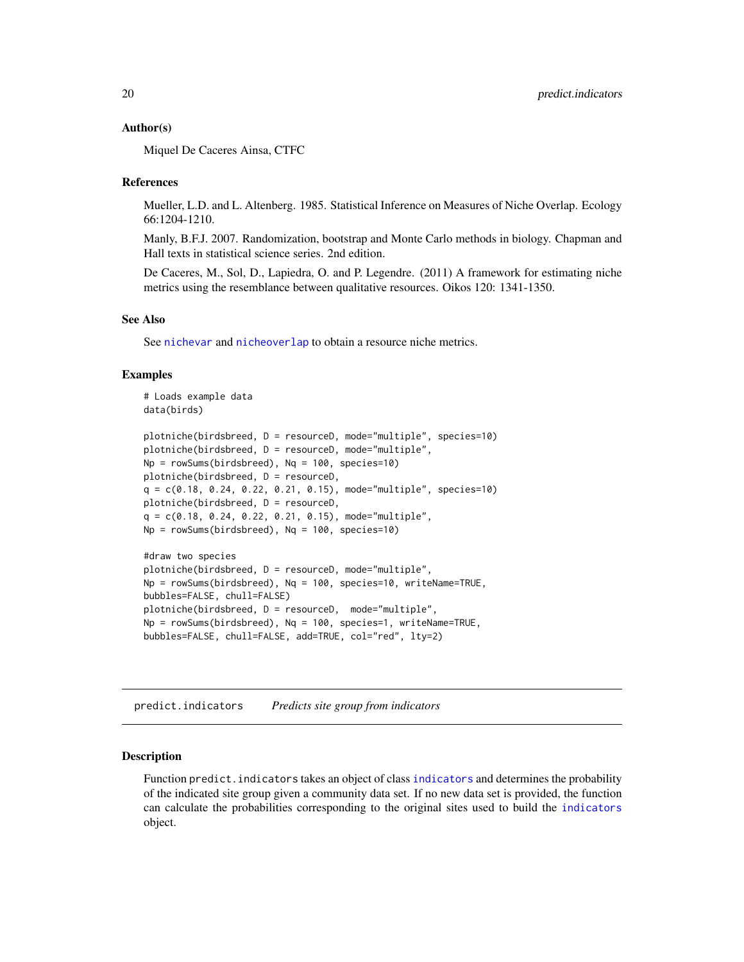#### <span id="page-19-0"></span>Author(s)

Miquel De Caceres Ainsa, CTFC

#### References

Mueller, L.D. and L. Altenberg. 1985. Statistical Inference on Measures of Niche Overlap. Ecology 66:1204-1210.

Manly, B.F.J. 2007. Randomization, bootstrap and Monte Carlo methods in biology. Chapman and Hall texts in statistical science series. 2nd edition.

De Caceres, M., Sol, D., Lapiedra, O. and P. Legendre. (2011) A framework for estimating niche metrics using the resemblance between qualitative resources. Oikos 120: 1341-1350.

# See Also

See [nichevar](#page-14-1) and [nicheoverlap](#page-11-1) to obtain a resource niche metrics.

## Examples

```
# Loads example data
data(birds)
plotniche(birdsbreed, D = resourceD, mode="multiple", species=10)
plotniche(birdsbreed, D = resourceD, mode="multiple",
Np = rowSums(birdsbreed), Nq = 100, species=10)
plotniche(birdsbreed, D = resourceD,
q = c(0.18, 0.24, 0.22, 0.21, 0.15), mode="multiple", species=10)
plotniche(birdsbreed, D = resourceD,
q = c(0.18, 0.24, 0.22, 0.21, 0.15), mode="multiple",
Np = \text{rowSums}(birdsbreed), Nq = 100, species=10)
#draw two species
plotniche(birdsbreed, D = resourceD, mode="multiple",
Np = rowSums(birdsbreed), Nq = 100, species=10, writeName=TRUE,
bubbles=FALSE, chull=FALSE)
plotniche(birdsbreed, D = resourceD, mode="multiple",
Np = rowSums(birdsbreed), Nq = 100, species=1, writeName=TRUE,
bubbles=FALSE, chull=FALSE, add=TRUE, col="red", lty=2)
```
<span id="page-19-1"></span>predict.indicators *Predicts site group from indicators*

#### Description

Function predict.indicators takes an object of class [indicators](#page-6-1) and determines the probability of the indicated site group given a community data set. If no new data set is provided, the function can calculate the probabilities corresponding to the original sites used to build the [indicators](#page-6-1) object.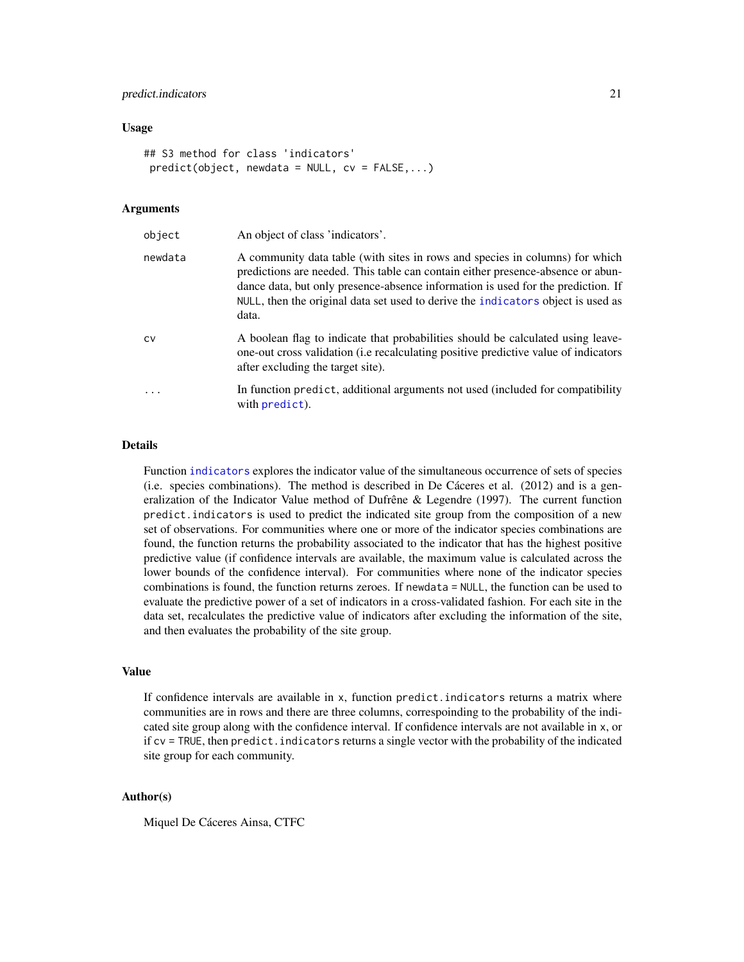#### <span id="page-20-0"></span>predict.indicators 21

#### Usage

```
## S3 method for class 'indicators'
predict(objject, newdata = NULL, cv = FALSE,...)
```
#### Arguments

| object  | An object of class 'indicators'.                                                                                                                                                                                                                                                                                                                 |
|---------|--------------------------------------------------------------------------------------------------------------------------------------------------------------------------------------------------------------------------------------------------------------------------------------------------------------------------------------------------|
| newdata | A community data table (with sites in rows and species in columns) for which<br>predictions are needed. This table can contain either presence-absence or abun-<br>dance data, but only presence-absence information is used for the prediction. If<br>NULL, then the original data set used to derive the indicators object is used as<br>data. |
| CV      | A boolean flag to indicate that probabilities should be calculated using leave-<br>one-out cross validation (i.e recalculating positive predictive value of indicators<br>after excluding the target site).                                                                                                                                      |
|         | In function predict, additional arguments not used (included for compatibility<br>with predict).                                                                                                                                                                                                                                                 |

#### Details

Function [indicators](#page-6-1) explores the indicator value of the simultaneous occurrence of sets of species (i.e. species combinations). The method is described in De Cáceres et al. (2012) and is a generalization of the Indicator Value method of Dufrêne & Legendre (1997). The current function predict.indicators is used to predict the indicated site group from the composition of a new set of observations. For communities where one or more of the indicator species combinations are found, the function returns the probability associated to the indicator that has the highest positive predictive value (if confidence intervals are available, the maximum value is calculated across the lower bounds of the confidence interval). For communities where none of the indicator species combinations is found, the function returns zeroes. If newdata = NULL, the function can be used to evaluate the predictive power of a set of indicators in a cross-validated fashion. For each site in the data set, recalculates the predictive value of indicators after excluding the information of the site, and then evaluates the probability of the site group.

#### Value

If confidence intervals are available in x, function predict.indicators returns a matrix where communities are in rows and there are three columns, correspoinding to the probability of the indicated site group along with the confidence interval. If confidence intervals are not available in x, or if cv = TRUE, then predict.indicators returns a single vector with the probability of the indicated site group for each community.

# Author(s)

Miquel De Cáceres Ainsa, CTFC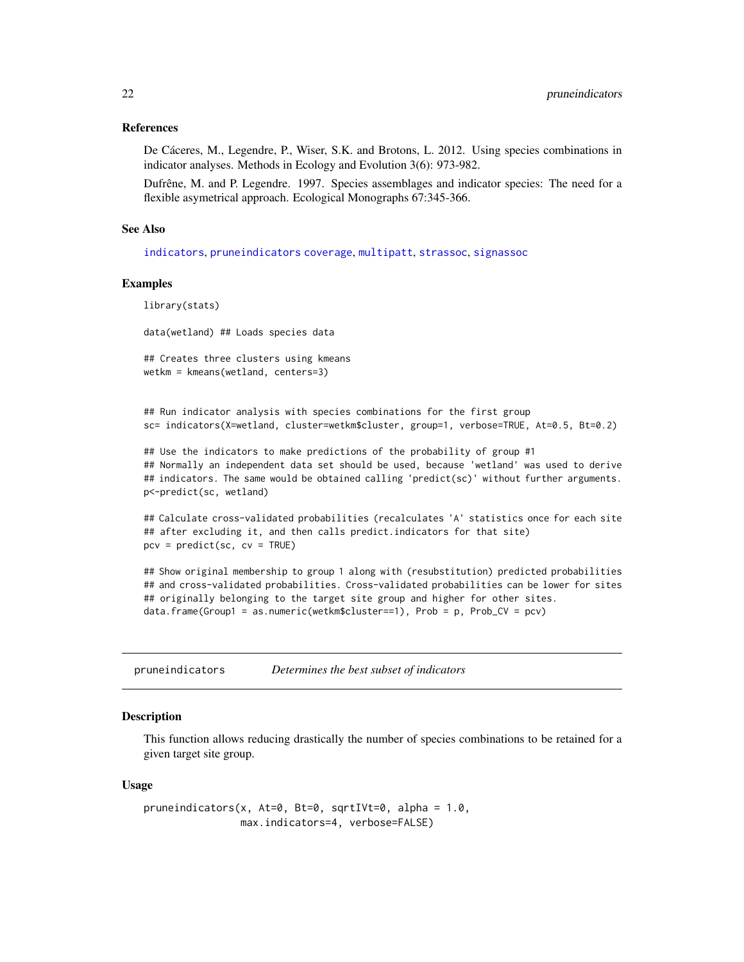#### <span id="page-21-0"></span>References

De Cáceres, M., Legendre, P., Wiser, S.K. and Brotons, L. 2012. Using species combinations in indicator analyses. Methods in Ecology and Evolution 3(6): 973-982.

Dufrêne, M. and P. Legendre. 1997. Species assemblages and indicator species: The need for a flexible asymetrical approach. Ecological Monographs 67:345-366.

#### See Also

[indicators](#page-6-1), [pruneindicators](#page-21-1) [coverage](#page-3-1), [multipatt](#page-9-1), [strassoc](#page-25-1), [signassoc](#page-23-1)

#### Examples

library(stats)

data(wetland) ## Loads species data

## Creates three clusters using kmeans wetkm = kmeans(wetland, centers=3)

## Run indicator analysis with species combinations for the first group sc= indicators(X=wetland, cluster=wetkm\$cluster, group=1, verbose=TRUE, At=0.5, Bt=0.2)

## Use the indicators to make predictions of the probability of group #1 ## Normally an independent data set should be used, because 'wetland' was used to derive ## indicators. The same would be obtained calling 'predict(sc)' without further arguments. p<-predict(sc, wetland)

## Calculate cross-validated probabilities (recalculates 'A' statistics once for each site ## after excluding it, and then calls predict.indicators for that site)  $pcv = predict(sc, cv = TRUE)$ 

## Show original membership to group 1 along with (resubstitution) predicted probabilities ## and cross-validated probabilities. Cross-validated probabilities can be lower for sites ## originally belonging to the target site group and higher for other sites. data.frame(Group1 = as.numeric(wetkm\$cluster==1), Prob = p, Prob\_CV = pcv)

<span id="page-21-1"></span>pruneindicators *Determines the best subset of indicators*

#### **Description**

This function allows reducing drastically the number of species combinations to be retained for a given target site group.

#### Usage

pruneindicators(x, At=0, Bt=0, sqrtIVt=0, alpha = 1.0, max.indicators=4, verbose=FALSE)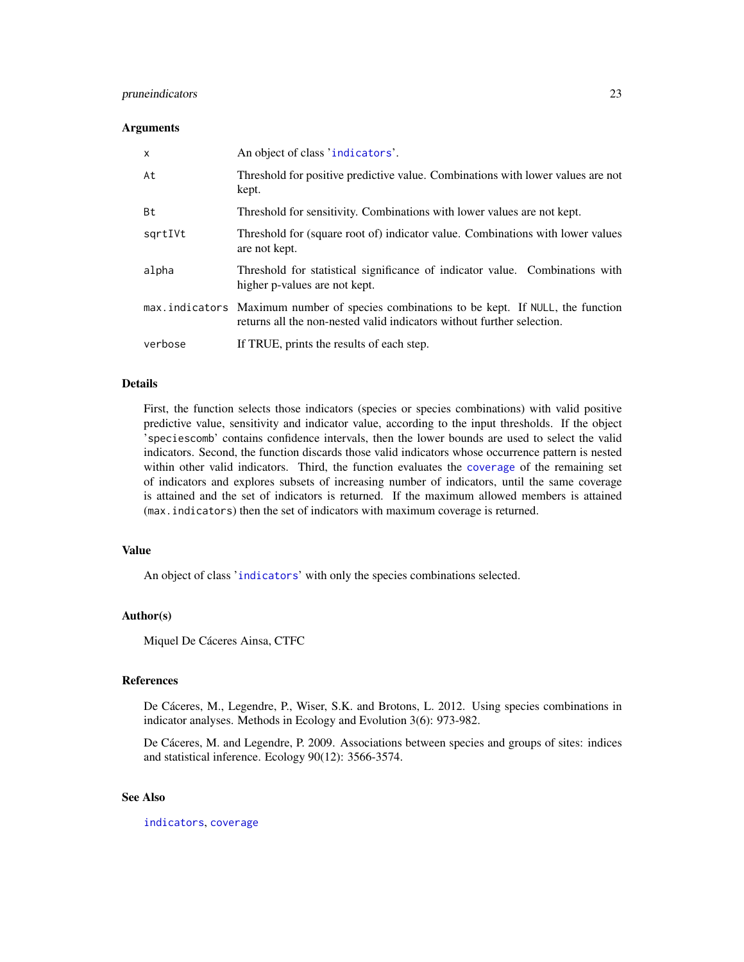# <span id="page-22-0"></span>pruneindicators 23

#### **Arguments**

| $\mathsf{x}$ | An object of class 'indicators'.                                                                                                                                  |
|--------------|-------------------------------------------------------------------------------------------------------------------------------------------------------------------|
| At           | Threshold for positive predictive value. Combinations with lower values are not<br>kept.                                                                          |
| Bt           | Threshold for sensitivity. Combinations with lower values are not kept.                                                                                           |
| sgrtIVt      | Threshold for (square root of) indicator value. Combinations with lower values<br>are not kept.                                                                   |
| alpha        | Threshold for statistical significance of indicator value. Combinations with<br>higher p-values are not kept.                                                     |
|              | max.indicators Maximum number of species combinations to be kept. If NULL, the function<br>returns all the non-nested valid indicators without further selection. |
| verbose      | If TRUE, prints the results of each step.                                                                                                                         |

# Details

First, the function selects those indicators (species or species combinations) with valid positive predictive value, sensitivity and indicator value, according to the input thresholds. If the object 'speciescomb' contains confidence intervals, then the lower bounds are used to select the valid indicators. Second, the function discards those valid indicators whose occurrence pattern is nested within other valid indicators. Third, the function evaluates the [coverage](#page-3-1) of the remaining set of indicators and explores subsets of increasing number of indicators, until the same coverage is attained and the set of indicators is returned. If the maximum allowed members is attained (max.indicators) then the set of indicators with maximum coverage is returned.

#### Value

An object of class '[indicators](#page-6-1)' with only the species combinations selected.

#### Author(s)

Miquel De Cáceres Ainsa, CTFC

#### References

De Cáceres, M., Legendre, P., Wiser, S.K. and Brotons, L. 2012. Using species combinations in indicator analyses. Methods in Ecology and Evolution 3(6): 973-982.

De Cáceres, M. and Legendre, P. 2009. Associations between species and groups of sites: indices and statistical inference. Ecology 90(12): 3566-3574.

# See Also

[indicators](#page-6-1), [coverage](#page-3-1)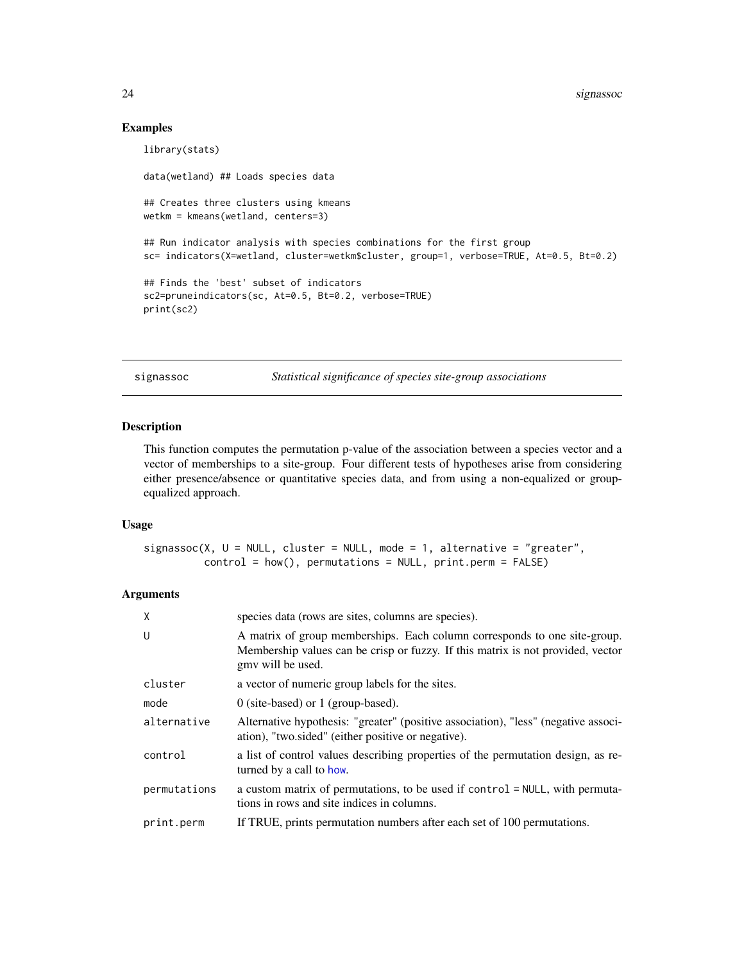#### Examples

```
library(stats)
data(wetland) ## Loads species data
## Creates three clusters using kmeans
wetkm = kmeans(wetland, centers=3)
## Run indicator analysis with species combinations for the first group
sc= indicators(X=wetland, cluster=wetkm$cluster, group=1, verbose=TRUE, At=0.5, Bt=0.2)
## Finds the 'best' subset of indicators
sc2=pruneindicators(sc, At=0.5, Bt=0.2, verbose=TRUE)
print(sc2)
```
<span id="page-23-1"></span>signassoc *Statistical significance of species site-group associations*

# Description

This function computes the permutation p-value of the association between a species vector and a vector of memberships to a site-group. Four different tests of hypotheses arise from considering either presence/absence or quantitative species data, and from using a non-equalized or groupequalized approach.

# Usage

```
signassoc(X, U = NULL, cluster = NULL, mode = 1, alternative = "greater",control = how(), permutations = NULL, print.perm = FALSE)
```
# Arguments

| X            | species data (rows are sites, columns are species).                                                                                                                               |
|--------------|-----------------------------------------------------------------------------------------------------------------------------------------------------------------------------------|
| U            | A matrix of group memberships. Each column corresponds to one site-group.<br>Membership values can be crisp or fuzzy. If this matrix is not provided, vector<br>gmy will be used. |
| cluster      | a vector of numeric group labels for the sites.                                                                                                                                   |
| mode         | $0$ (site-based) or 1 (group-based).                                                                                                                                              |
| alternative  | Alternative hypothesis: "greater" (positive association), "less" (negative associ-<br>ation), "two sided" (either positive or negative).                                          |
| control      | a list of control values describing properties of the permutation design, as re-<br>turned by a call to how.                                                                      |
| permutations | a custom matrix of permutations, to be used if control = NULL, with permuta-<br>tions in rows and site indices in columns.                                                        |
| print.perm   | If TRUE, prints permutation numbers after each set of 100 permutations.                                                                                                           |

<span id="page-23-0"></span>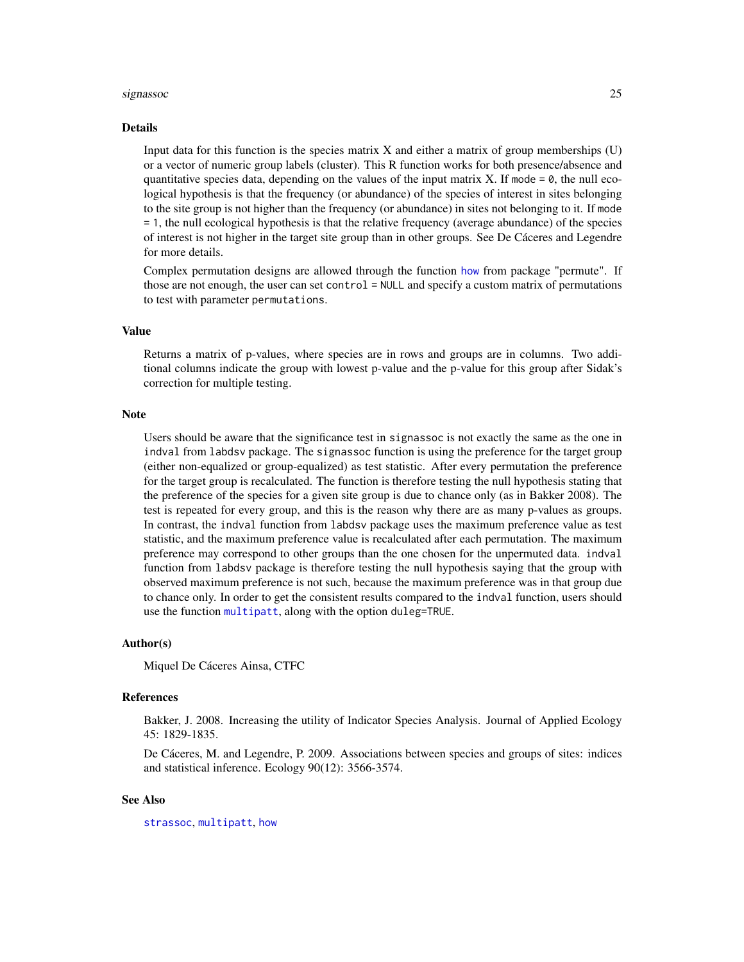#### <span id="page-24-0"></span>signassoc 25

#### Details

Input data for this function is the species matrix X and either a matrix of group memberships  $(U)$ or a vector of numeric group labels (cluster). This R function works for both presence/absence and quantitative species data, depending on the values of the input matrix X. If mode  $= 0$ , the null ecological hypothesis is that the frequency (or abundance) of the species of interest in sites belonging to the site group is not higher than the frequency (or abundance) in sites not belonging to it. If mode = 1, the null ecological hypothesis is that the relative frequency (average abundance) of the species of interest is not higher in the target site group than in other groups. See De Cáceres and Legendre for more details.

Complex permutation designs are allowed through the function [how](#page-0-0) from package "permute". If those are not enough, the user can set control = NULL and specify a custom matrix of permutations to test with parameter permutations.

#### Value

Returns a matrix of p-values, where species are in rows and groups are in columns. Two additional columns indicate the group with lowest p-value and the p-value for this group after Sidak's correction for multiple testing.

#### Note

Users should be aware that the significance test in signassoc is not exactly the same as the one in indval from labdsv package. The signassoc function is using the preference for the target group (either non-equalized or group-equalized) as test statistic. After every permutation the preference for the target group is recalculated. The function is therefore testing the null hypothesis stating that the preference of the species for a given site group is due to chance only (as in Bakker 2008). The test is repeated for every group, and this is the reason why there are as many p-values as groups. In contrast, the indval function from labdsv package uses the maximum preference value as test statistic, and the maximum preference value is recalculated after each permutation. The maximum preference may correspond to other groups than the one chosen for the unpermuted data. indval function from labdsv package is therefore testing the null hypothesis saying that the group with observed maximum preference is not such, because the maximum preference was in that group due to chance only. In order to get the consistent results compared to the indval function, users should use the function [multipatt](#page-9-1), along with the option duleg=TRUE.

#### Author(s)

Miquel De Cáceres Ainsa, CTFC

#### References

Bakker, J. 2008. Increasing the utility of Indicator Species Analysis. Journal of Applied Ecology 45: 1829-1835.

De Cáceres, M. and Legendre, P. 2009. Associations between species and groups of sites: indices and statistical inference. Ecology 90(12): 3566-3574.

# See Also

[strassoc](#page-25-1), [multipatt](#page-9-1), [how](#page-0-0)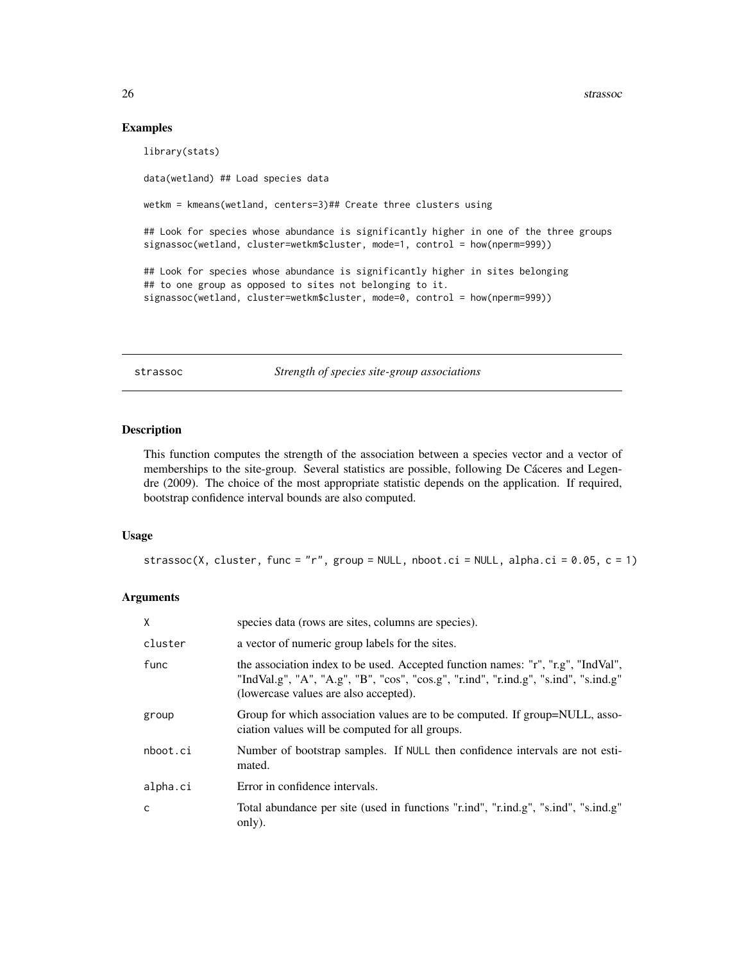26 strassoc

#### Examples

library(stats) data(wetland) ## Load species data wetkm = kmeans(wetland, centers=3)## Create three clusters using ## Look for species whose abundance is significantly higher in one of the three groups signassoc(wetland, cluster=wetkm\$cluster, mode=1, control = how(nperm=999)) ## Look for species whose abundance is significantly higher in sites belonging ## to one group as opposed to sites not belonging to it. signassoc(wetland, cluster=wetkm\$cluster, mode=0, control = how(nperm=999))

<span id="page-25-1"></span>strassoc *Strength of species site-group associations*

#### Description

This function computes the strength of the association between a species vector and a vector of memberships to the site-group. Several statistics are possible, following De Cáceres and Legendre (2009). The choice of the most appropriate statistic depends on the application. If required, bootstrap confidence interval bounds are also computed.

#### Usage

strassoc(X, cluster, func = "r", group = NULL, nboot.ci = NULL, alpha.ci = 0.05, c = 1)

# Arguments

| X        | species data (rows are sites, columns are species).                                                                                                                                                              |
|----------|------------------------------------------------------------------------------------------------------------------------------------------------------------------------------------------------------------------|
| cluster  | a vector of numeric group labels for the sites.                                                                                                                                                                  |
| func     | the association index to be used. Accepted function names: "r", "r.g", "IndVal",<br>"IndVal.g", "A", "A.g", "B", "cos", "cos.g", "r.ind", "r.ind.g", "s.ind", "s.ind.g"<br>(lowercase values are also accepted). |
| group    | Group for which association values are to be computed. If group=NULL, asso-<br>ciation values will be computed for all groups.                                                                                   |
| nboot.ci | Number of bootstrap samples. If NULL then confidence intervals are not esti-<br>mated.                                                                                                                           |
| alpha.ci | Error in confidence intervals.                                                                                                                                                                                   |
| C        | Total abundance per site (used in functions "r.ind", "r.ind.g", "s.ind", "s.ind.g"<br>only).                                                                                                                     |

<span id="page-25-0"></span>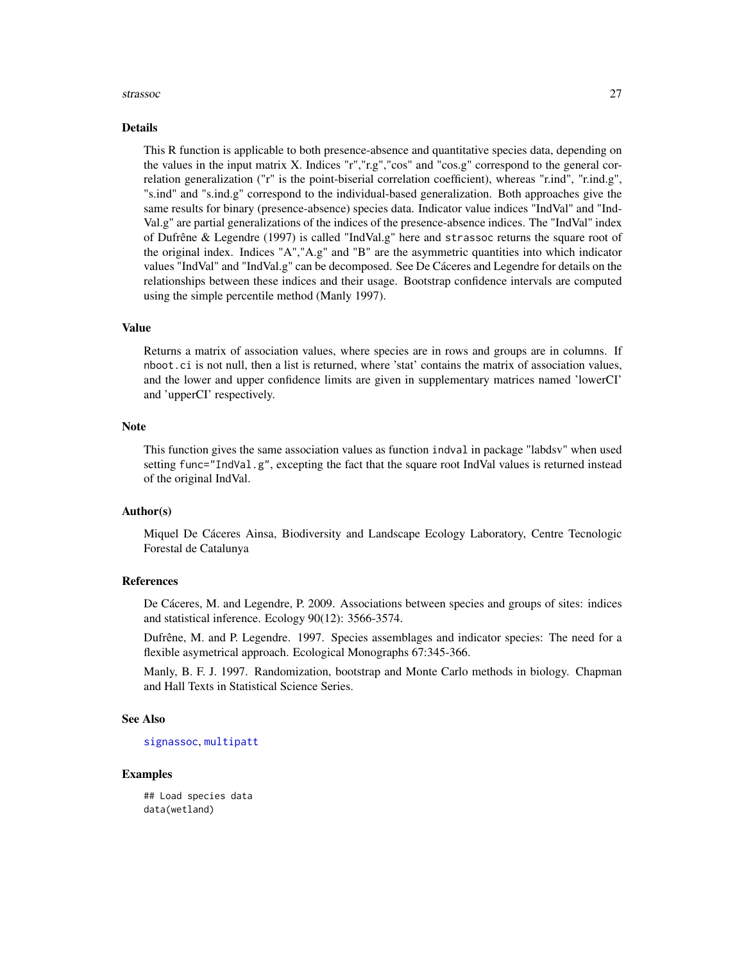#### <span id="page-26-0"></span>strassoc 27

#### Details

This R function is applicable to both presence-absence and quantitative species data, depending on the values in the input matrix X. Indices "r","r.g","cos" and "cos.g" correspond to the general correlation generalization ("r" is the point-biserial correlation coefficient), whereas "r.ind", "r.ind.g", "s.ind" and "s.ind.g" correspond to the individual-based generalization. Both approaches give the same results for binary (presence-absence) species data. Indicator value indices "IndVal" and "Ind-Val.g" are partial generalizations of the indices of the presence-absence indices. The "IndVal" index of Dufrêne & Legendre (1997) is called "IndVal.g" here and strassoc returns the square root of the original index. Indices "A","A.g" and "B" are the asymmetric quantities into which indicator values "IndVal" and "IndVal.g" can be decomposed. See De Cáceres and Legendre for details on the relationships between these indices and their usage. Bootstrap confidence intervals are computed using the simple percentile method (Manly 1997).

#### Value

Returns a matrix of association values, where species are in rows and groups are in columns. If nboot.ci is not null, then a list is returned, where 'stat' contains the matrix of association values, and the lower and upper confidence limits are given in supplementary matrices named 'lowerCI' and 'upperCI' respectively.

#### **Note**

This function gives the same association values as function indval in package "labdsv" when used setting func="IndVal.g", excepting the fact that the square root IndVal values is returned instead of the original IndVal.

#### Author(s)

Miquel De Cáceres Ainsa, Biodiversity and Landscape Ecology Laboratory, Centre Tecnologic Forestal de Catalunya

#### References

De Cáceres, M. and Legendre, P. 2009. Associations between species and groups of sites: indices and statistical inference. Ecology 90(12): 3566-3574.

Dufrêne, M. and P. Legendre. 1997. Species assemblages and indicator species: The need for a flexible asymetrical approach. Ecological Monographs 67:345-366.

Manly, B. F. J. 1997. Randomization, bootstrap and Monte Carlo methods in biology. Chapman and Hall Texts in Statistical Science Series.

### See Also

#### [signassoc](#page-23-1), [multipatt](#page-9-1)

#### Examples

## Load species data data(wetland)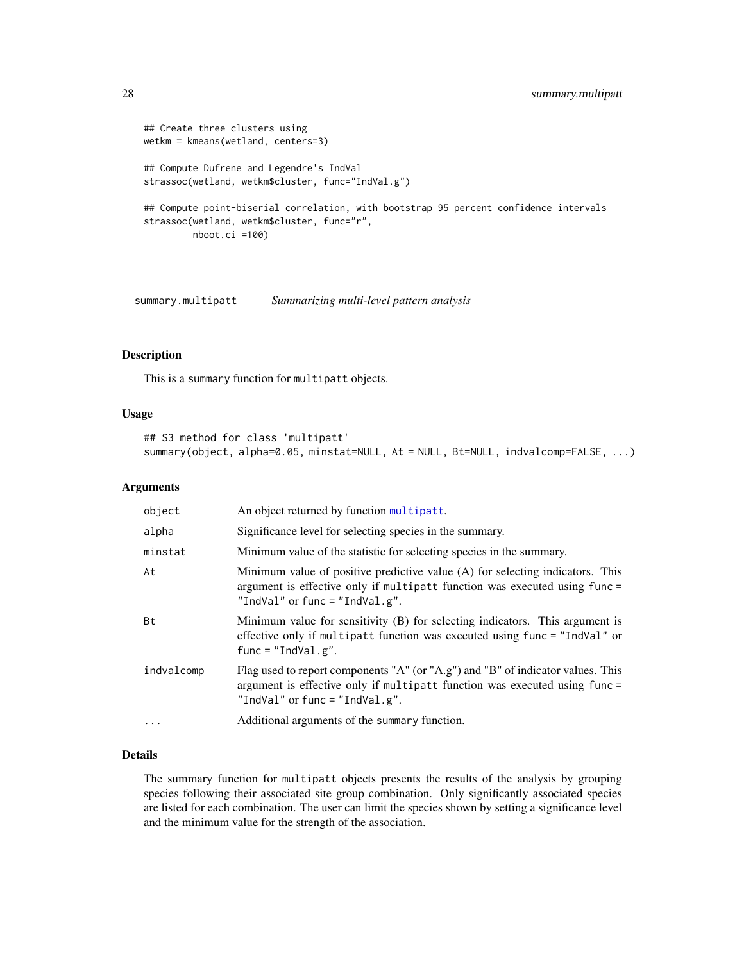```
## Create three clusters using
wetkm = kmeans(wetland, centers=3)
## Compute Dufrene and Legendre's IndVal
strassoc(wetland, wetkm$cluster, func="IndVal.g")
## Compute point-biserial correlation, with bootstrap 95 percent confidence intervals
strassoc(wetland, wetkm$cluster, func="r",
        nboot.ci =100)
```
<span id="page-27-1"></span>summary.multipatt *Summarizing multi-level pattern analysis*

# Description

This is a summary function for multipatt objects.

# Usage

```
## S3 method for class 'multipatt'
summary(object, alpha=0.05, minstat=NULL, At = NULL, Bt=NULL, indvalcomp=FALSE, ...)
```
# Arguments

| object     | An object returned by function multipatt.                                                                                                                                                       |
|------------|-------------------------------------------------------------------------------------------------------------------------------------------------------------------------------------------------|
| alpha      | Significance level for selecting species in the summary.                                                                                                                                        |
| minstat    | Minimum value of the statistic for selecting species in the summary.                                                                                                                            |
| At         | Minimum value of positive predictive value (A) for selecting indicators. This<br>argument is effective only if multipatt function was executed using func =<br>"IndVal" or func = "IndVal.g".   |
| Bt         | Minimum value for sensitivity (B) for selecting indicators. This argument is<br>effective only if multipatt function was executed using func = "IndVal" or<br>$func = "IndVal.g".$              |
| indvalcomp | Flag used to report components "A" (or "A.g") and "B" of indicator values. This<br>argument is effective only if multipatt function was executed using func =<br>"IndVal" or func = "IndVal.g". |
| .          | Additional arguments of the summary function.                                                                                                                                                   |

# Details

The summary function for multipatt objects presents the results of the analysis by grouping species following their associated site group combination. Only significantly associated species are listed for each combination. The user can limit the species shown by setting a significance level and the minimum value for the strength of the association.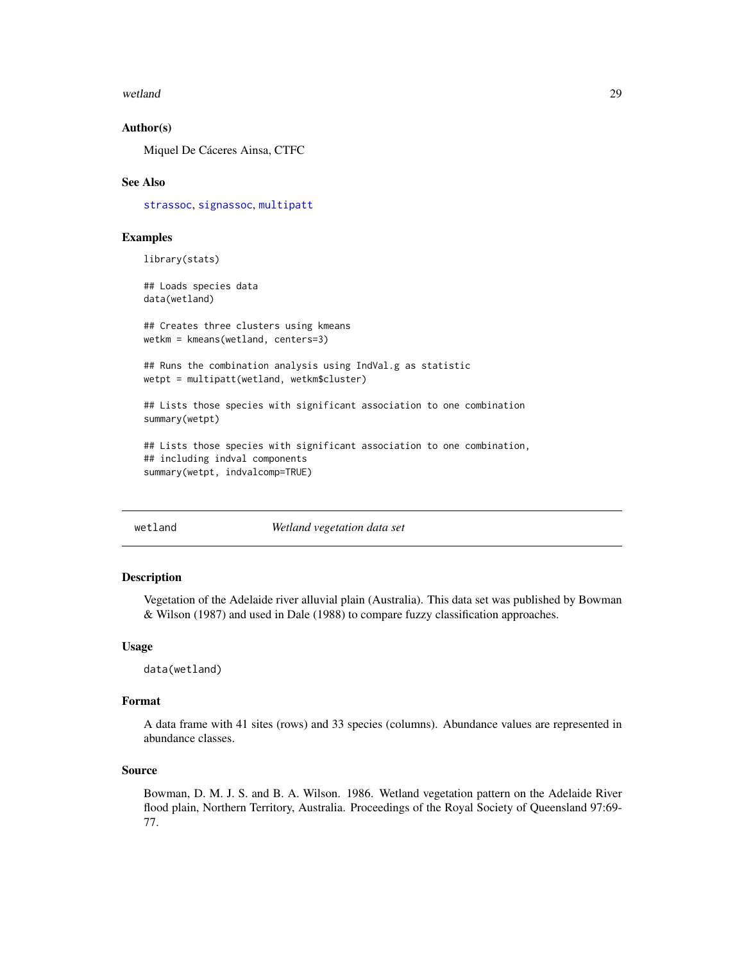#### <span id="page-28-0"></span>wetland 29

#### Author(s)

Miquel De Cáceres Ainsa, CTFC

#### See Also

[strassoc](#page-25-1), [signassoc](#page-23-1), [multipatt](#page-9-1)

### Examples

library(stats)

## Loads species data data(wetland)

## Creates three clusters using kmeans wetkm = kmeans(wetland, centers=3)

## Runs the combination analysis using IndVal.g as statistic wetpt = multipatt(wetland, wetkm\$cluster)

## Lists those species with significant association to one combination summary(wetpt)

## Lists those species with significant association to one combination, ## including indval components summary(wetpt, indvalcomp=TRUE)

wetland *Wetland vegetation data set*

#### Description

Vegetation of the Adelaide river alluvial plain (Australia). This data set was published by Bowman & Wilson (1987) and used in Dale (1988) to compare fuzzy classification approaches.

#### Usage

data(wetland)

# Format

A data frame with 41 sites (rows) and 33 species (columns). Abundance values are represented in abundance classes.

# Source

Bowman, D. M. J. S. and B. A. Wilson. 1986. Wetland vegetation pattern on the Adelaide River flood plain, Northern Territory, Australia. Proceedings of the Royal Society of Queensland 97:69- 77.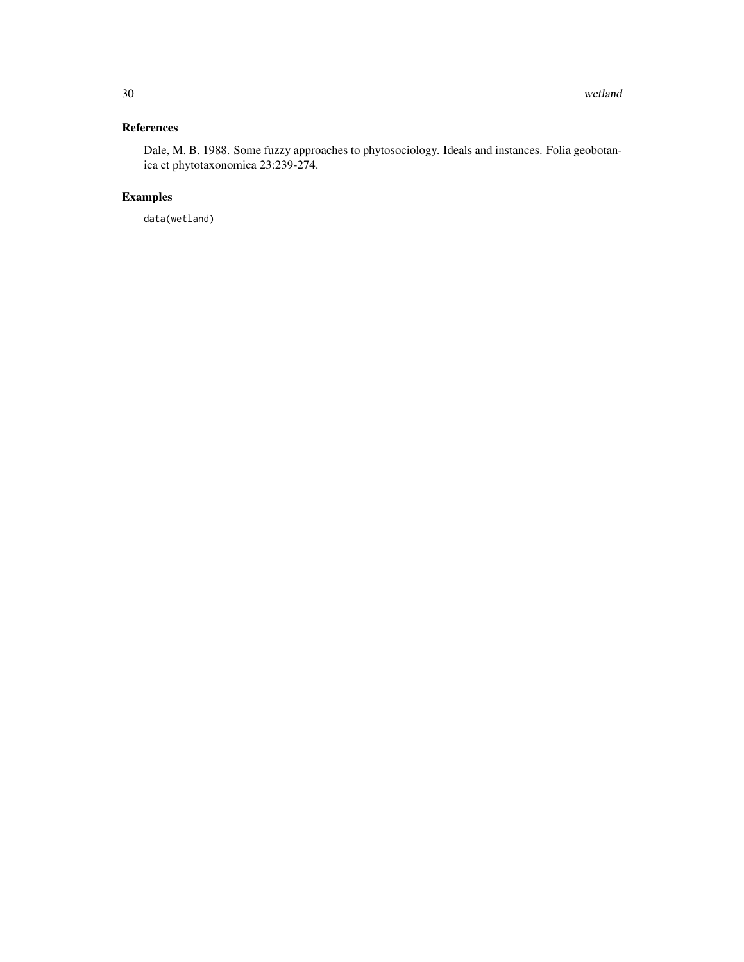# References

Dale, M. B. 1988. Some fuzzy approaches to phytosociology. Ideals and instances. Folia geobotanica et phytotaxonomica 23:239-274.

# Examples

data(wetland)